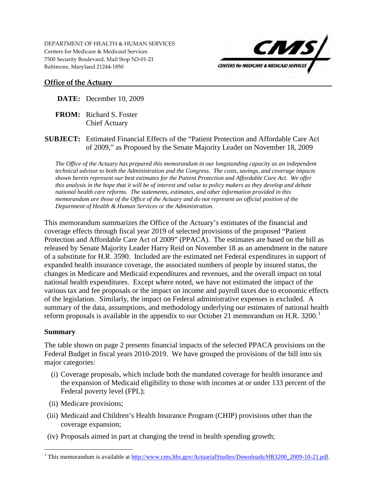DEPARTMENT OF HEALTH & HUMAN SERVICES Centers for Medicare & Medicaid Services 7500 Security Boulevard, Mail Stop N3-01-21 Baltimore, Maryland 21244-1850



### **Office of the Actuary**

**DATE:** December 10, 2009

**FROM:** Richard S. Foster Chief Actuary

**SUBJECT:** Estimated Financial Effects of the "Patient Protection and Affordable Care Act of 2009," as Proposed by the Senate Majority Leader on November 18, 2009

*The Office of the Actuary has prepared this memorandum in our longstanding capacity as an independent technical advisor to both the Administration and the Congress. The costs, savings, and coverage impacts shown herein represent our best estimates for the Patient Protection and Affordable Care Act. We offer this analysis in the hope that it will be of interest and value to policy makers as they develop and debate national health care reforms. The statements, estimates, and other information provided in this memorandum are those of the Office of the Actuary and do not represent an official position of the Department of Health & Human Services or the Administration.* 

This memorandum summarizes the Office of the Actuary's estimates of the financial and coverage effects through fiscal year 2019 of selected provisions of the proposed "Patient Protection and Affordable Care Act of 2009" (PPACA). The estimates are based on the bill as released by Senate Majority Leader Harry Reid on November 18 as an amendment in the nature of a substitute for H.R. 3590. Included are the estimated net Federal expenditures in support of expanded health insurance coverage, the associated numbers of people by insured status, the changes in Medicare and Medicaid expenditures and revenues, and the overall impact on total national health expenditures. Except where noted, we have not estimated the impact of the various tax and fee proposals or the impact on income and payroll taxes due to economic effects of the legislation. Similarly, the impact on Federal administrative expenses is excluded. A summary of the data, assumptions, and methodology underlying our estimates of national health reform proposals is available in the appendix to our October 2[1](#page-0-0) memorandum on H.R.  $3200<sup>1</sup>$ 

### **Summary**

The table shown on page 2 presents financial impacts of the selected PPACA provisions on the Federal Budget in fiscal years 2010-2019. We have grouped the provisions of the bill into six major categories:

- (i) Coverage proposals, which include both the mandated coverage for health insurance and the expansion of Medicaid eligibility to those with incomes at or under 133 percent of the Federal poverty level (FPL);
- (ii) Medicare provisions;
- (iii) Medicaid and Children's Health Insurance Program (CHIP) provisions other than the coverage expansion;
- (iv) Proposals aimed in part at changing the trend in health spending growth;

<span id="page-0-0"></span> $\overline{a}$ <sup>1</sup> This memorandum is available at  $\frac{http://www.cms.hhs.gov/ActualStudies/Downloads/HR3200_2009-10-21.pdf.}$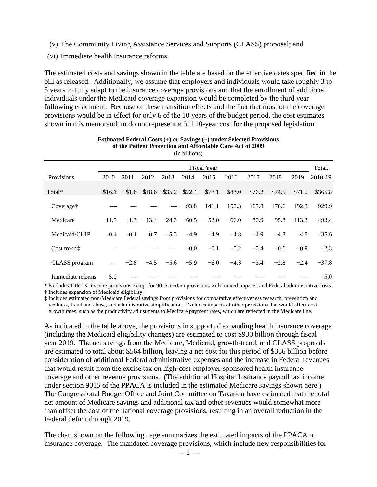- (v) The Community Living Assistance Services and Supports (CLASS) proposal; and
- (vi) Immediate health insurance reforms.

The estimated costs and savings shown in the table are based on the effective dates specified in the bill as released. Additionally, we assume that employers and individuals would take roughly 3 to 5 years to fully adapt to the insurance coverage provisions and that the enrollment of additional individuals under the Medicaid coverage expansion would be completed by the third year following enactment. Because of these transition effects and the fact that most of the coverage provisions would be in effect for only 6 of the 10 years of the budget period, the cost estimates shown in this memorandum do not represent a full 10-year cost for the proposed legislation.

|                      |        |        |        |                                             | (III DIIIIOIIS) |                    |         |         |        |                  |          |
|----------------------|--------|--------|--------|---------------------------------------------|-----------------|--------------------|---------|---------|--------|------------------|----------|
|                      |        |        |        |                                             |                 | <b>Fiscal Year</b> |         |         |        |                  | Total,   |
| Provisions           | 2010   | 2011   | 2012   | 2013                                        | 2014            | 2015               | 2016    | 2017    | 2018   | 2019             | 2010-19  |
| Total*               |        |        |        | $$16.1$ - $$1.6$ - $$18.6$ - $$35.2$ \$22.4 |                 | \$78.1             | \$83.0  | \$76.2  | \$74.5 | \$71.0           | \$365.8  |
| Coverage†            |        |        |        |                                             | 93.8            | 141.1              | 158.3   | 165.8   | 178.6  | 192.3            | 929.9    |
| Medicare             | 11.5   | 1.3    |        | $-13.4$ $-24.3$ $-60.5$                     |                 | $-52.0$            | $-66.0$ | $-80.9$ |        | $-95.8$ $-113.3$ | $-493.4$ |
| Medicaid/CHIP        | $-0.4$ | $-0.1$ | $-0.7$ | $-5.3$                                      | $-4.9$          | $-4.9$             | $-4.8$  | $-4.9$  | $-4.8$ | $-4.8$           | $-35.6$  |
| Cost trend:          |        |        |        |                                             | $-0.0$          | $-0.1$             | $-0.2$  | $-0.4$  | $-0.6$ | $-0.9$           | $-2.3$   |
| <b>CLASS</b> program |        | $-2.8$ | $-4.5$ | $-5.6$                                      | $-5.9$          | $-6.0$             | $-4.3$  | $-3.4$  | $-2.8$ | $-2.4$           | $-37.8$  |
| Immediate reforms    | 5.0    |        |        |                                             |                 |                    |         |         |        |                  | 5.0      |

#### **Estimated Federal Costs (+) or Savings (−) under Selected Provisions of the Patient Protection and Affordable Care Act of 2009**  $(1.111)$

\* Excludes Title IX revenue provisions except for 9015, certain provisions with limited impacts, and Federal administrative costs. † Includes expansion of Medicaid eligibility.

‡ Includes estimated non-Medicare Federal savings from provisions for comparative effectiveness research, prevention and wellness, fraud and abuse, and administrative simplification. Excludes impacts of other provisions that would affect cost

growth rates, such as the productivity adjustments to Medicare payment rates, which are reflected in the Medicare line.

As indicated in the table above, the provisions in support of expanding health insurance coverage (including the Medicaid eligibility changes) are estimated to cost \$930 billion through fiscal year 2019. The net savings from the Medicare, Medicaid, growth-trend, and CLASS proposals are estimated to total about \$564 billion, leaving a net cost for this period of \$366 billion before consideration of additional Federal administrative expenses and the increase in Federal revenues that would result from the excise tax on high-cost employer-sponsored health insurance coverage and other revenue provisions. (The additional Hospital Insurance payroll tax income under section 9015 of the PPACA is included in the estimated Medicare savings shown here.) The Congressional Budget Office and Joint Committee on Taxation have estimated that the total net amount of Medicare savings and additional tax and other revenues would somewhat more than offset the cost of the national coverage provisions, resulting in an overall reduction in the Federal deficit through 2019.

The chart shown on the following page summarizes the estimated impacts of the PPACA on insurance coverage. The mandated coverage provisions, which include new responsibilities for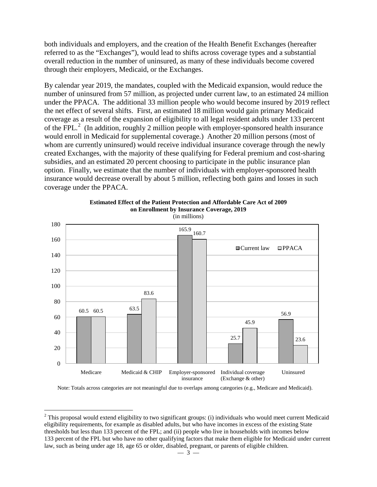both individuals and employers, and the creation of the Health Benefit Exchanges (hereafter referred to as the "Exchanges"), would lead to shifts across coverage types and a substantial overall reduction in the number of uninsured, as many of these individuals become covered through their employers, Medicaid, or the Exchanges.

By calendar year 2019, the mandates, coupled with the Medicaid expansion, would reduce the number of uninsured from 57 million, as projected under current law, to an estimated 24 million under the PPACA. The additional 33 million people who would become insured by 2019 reflect the net effect of several shifts. First, an estimated 18 million would gain primary Medicaid coverage as a result of the expansion of eligibility to all legal resident adults under 133 percent of the FPL. $^2$  $^2$  (In addition, roughly 2 million people with employer-sponsored health insurance would enroll in Medicaid for supplemental coverage.) Another 20 million persons (most of whom are currently uninsured) would receive individual insurance coverage through the newly created Exchanges, with the majority of these qualifying for Federal premium and cost-sharing subsidies, and an estimated 20 percent choosing to participate in the public insurance plan option. Finally, we estimate that the number of individuals with employer-sponsored health insurance would decrease overall by about 5 million, reflecting both gains and losses in such coverage under the PPACA.



**Estimated Effect of the Patient Protection and Affordable Care Act of 2009 on Enrollment by Insurance Coverage, 2019** (in millions)

Note: Totals across categories are not meaningful due to overlaps among categories (e.g., Medicare and Medicaid).

 $\overline{a}$ 

<span id="page-2-0"></span> $2$  This proposal would extend eligibility to two significant groups: (i) individuals who would meet current Medicaid eligibility requirements, for example as disabled adults, but who have incomes in excess of the existing State thresholds but less than 133 percent of the FPL; and (ii) people who live in households with incomes below 133 percent of the FPL but who have no other qualifying factors that make them eligible for Medicaid under current law, such as being under age 18, age 65 or older, disabled, pregnant, or parents of eligible children.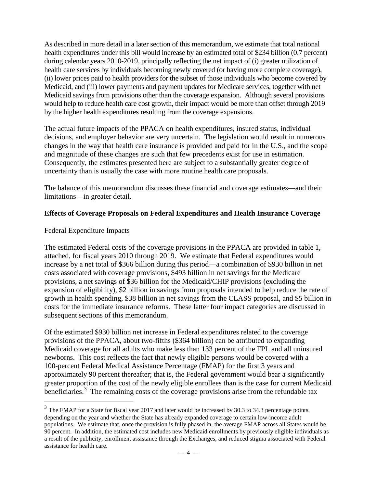As described in more detail in a later section of this memorandum, we estimate that total national health expenditures under this bill would increase by an estimated total of \$234 billion (0.7 percent) during calendar years 2010-2019, principally reflecting the net impact of (i) greater utilization of health care services by individuals becoming newly covered (or having more complete coverage), (ii) lower prices paid to health providers for the subset of those individuals who become covered by Medicaid, and (iii) lower payments and payment updates for Medicare services, together with net Medicaid savings from provisions other than the coverage expansion. Although several provisions would help to reduce health care cost growth, their impact would be more than offset through 2019 by the higher health expenditures resulting from the coverage expansions.

The actual future impacts of the PPACA on health expenditures, insured status, individual decisions, and employer behavior are very uncertain. The legislation would result in numerous changes in the way that health care insurance is provided and paid for in the U.S., and the scope and magnitude of these changes are such that few precedents exist for use in estimation. Consequently, the estimates presented here are subject to a substantially greater degree of uncertainty than is usually the case with more routine health care proposals.

The balance of this memorandum discusses these financial and coverage estimates—and their limitations—in greater detail.

## **Effects of Coverage Proposals on Federal Expenditures and Health Insurance Coverage**

### Federal Expenditure Impacts

 $\overline{a}$ 

The estimated Federal costs of the coverage provisions in the PPACA are provided in table 1, attached, for fiscal years 2010 through 2019. We estimate that Federal expenditures would increase by a net total of \$366 billion during this period—a combination of \$930 billion in net costs associated with coverage provisions, \$493 billion in net savings for the Medicare provisions, a net savings of \$36 billion for the Medicaid/CHIP provisions (excluding the expansion of eligibility), \$2 billion in savings from proposals intended to help reduce the rate of growth in health spending, \$38 billion in net savings from the CLASS proposal, and \$5 billion in costs for the immediate insurance reforms. These latter four impact categories are discussed in subsequent sections of this memorandum.

Of the estimated \$930 billion net increase in Federal expenditures related to the coverage provisions of the PPACA, about two-fifths (\$364 billion) can be attributed to expanding Medicaid coverage for all adults who make less than 133 percent of the FPL and all uninsured newborns. This cost reflects the fact that newly eligible persons would be covered with a 100-percent Federal Medical Assistance Percentage (FMAP) for the first 3 years and approximately 90 percent thereafter; that is, the Federal government would bear a significantly greater proportion of the cost of the newly eligible enrollees than is the case for current Medicaid beneficiaries.<sup>[3](#page-3-0)</sup> The remaining costs of the coverage provisions arise from the refundable tax

<span id="page-3-0"></span> $3$  The FMAP for a State for fiscal year 2017 and later would be increased by 30.3 to 34.3 percentage points, depending on the year and whether the State has already expanded coverage to certain low-income adult populations. We estimate that, once the provision is fully phased in, the average FMAP across all States would be 90 percent. In addition, the estimated cost includes new Medicaid enrollments by previously eligible individuals as a result of the publicity, enrollment assistance through the Exchanges, and reduced stigma associated with Federal assistance for health care.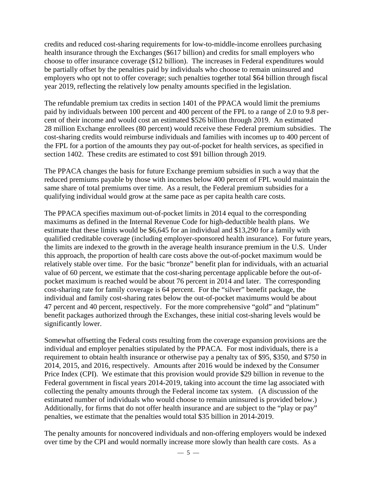credits and reduced cost-sharing requirements for low-to-middle-income enrollees purchasing health insurance through the Exchanges (\$617 billion) and credits for small employers who choose to offer insurance coverage (\$12 billion). The increases in Federal expenditures would be partially offset by the penalties paid by individuals who choose to remain uninsured and employers who opt not to offer coverage; such penalties together total \$64 billion through fiscal year 2019, reflecting the relatively low penalty amounts specified in the legislation.

The refundable premium tax credits in section 1401 of the PPACA would limit the premiums paid by individuals between 100 percent and 400 percent of the FPL to a range of 2.0 to 9.8 percent of their income and would cost an estimated \$526 billion through 2019. An estimated 28 million Exchange enrollees (80 percent) would receive these Federal premium subsidies. The cost-sharing credits would reimburse individuals and families with incomes up to 400 percent of the FPL for a portion of the amounts they pay out-of-pocket for health services, as specified in section 1402. These credits are estimated to cost \$91 billion through 2019.

The PPACA changes the basis for future Exchange premium subsidies in such a way that the reduced premiums payable by those with incomes below 400 percent of FPL would maintain the same share of total premiums over time. As a result, the Federal premium subsidies for a qualifying individual would grow at the same pace as per capita health care costs.

The PPACA specifies maximum out-of-pocket limits in 2014 equal to the corresponding maximums as defined in the Internal Revenue Code for high-deductible health plans. We estimate that these limits would be \$6,645 for an individual and \$13,290 for a family with qualified creditable coverage (including employer-sponsored health insurance). For future years, the limits are indexed to the growth in the average health insurance premium in the U.S. Under this approach, the proportion of health care costs above the out-of-pocket maximum would be relatively stable over time. For the basic "bronze" benefit plan for individuals, with an actuarial value of 60 percent, we estimate that the cost-sharing percentage applicable before the out-ofpocket maximum is reached would be about 76 percent in 2014 and later. The corresponding cost-sharing rate for family coverage is 64 percent. For the "silver" benefit package, the individual and family cost-sharing rates below the out-of-pocket maximums would be about 47 percent and 40 percent, respectively. For the more comprehensive "gold" and "platinum" benefit packages authorized through the Exchanges, these initial cost-sharing levels would be significantly lower.

Somewhat offsetting the Federal costs resulting from the coverage expansion provisions are the individual and employer penalties stipulated by the PPACA. For most individuals, there is a requirement to obtain health insurance or otherwise pay a penalty tax of \$95, \$350, and \$750 in 2014, 2015, and 2016, respectively. Amounts after 2016 would be indexed by the Consumer Price Index (CPI). We estimate that this provision would provide \$29 billion in revenue to the Federal government in fiscal years 2014-2019, taking into account the time lag associated with collecting the penalty amounts through the Federal income tax system. (A discussion of the estimated number of individuals who would choose to remain uninsured is provided below.) Additionally, for firms that do not offer health insurance and are subject to the "play or pay" penalties, we estimate that the penalties would total \$35 billion in 2014-2019.

The penalty amounts for noncovered individuals and non-offering employers would be indexed over time by the CPI and would normally increase more slowly than health care costs. As a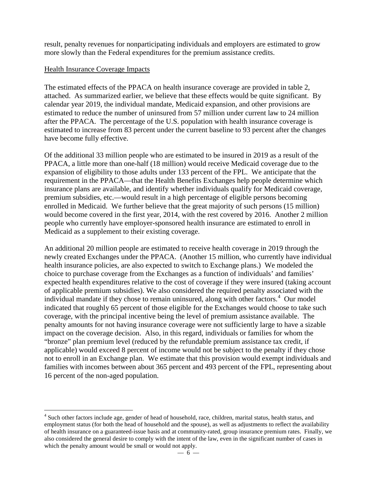result, penalty revenues for nonparticipating individuals and employers are estimated to grow more slowly than the Federal expenditures for the premium assistance credits.

### Health Insurance Coverage Impacts

The estimated effects of the PPACA on health insurance coverage are provided in table 2, attached. As summarized earlier, we believe that these effects would be quite significant. By calendar year 2019, the individual mandate, Medicaid expansion, and other provisions are estimated to reduce the number of uninsured from 57 million under current law to 24 million after the PPACA. The percentage of the U.S. population with health insurance coverage is estimated to increase from 83 percent under the current baseline to 93 percent after the changes have become fully effective.

Of the additional 33 million people who are estimated to be insured in 2019 as a result of the PPACA, a little more than one-half (18 million) would receive Medicaid coverage due to the expansion of eligibility to those adults under 133 percent of the FPL. We anticipate that the requirement in the PPACA—that the Health Benefits Exchanges help people determine which insurance plans are available, and identify whether individuals qualify for Medicaid coverage, premium subsidies, etc.—would result in a high percentage of eligible persons becoming enrolled in Medicaid. We further believe that the great majority of such persons (15 million) would become covered in the first year, 2014, with the rest covered by 2016. Another 2 million people who currently have employer-sponsored health insurance are estimated to enroll in Medicaid as a supplement to their existing coverage.

An additional 20 million people are estimated to receive health coverage in 2019 through the newly created Exchanges under the PPACA. (Another 15 million, who currently have individual health insurance policies, are also expected to switch to Exchange plans.) We modeled the choice to purchase coverage from the Exchanges as a function of individuals' and families' expected health expenditures relative to the cost of coverage if they were insured (taking account of applicable premium subsidies). We also considered the required penalty associated with the individual mandate if they chose to remain uninsured, along with other factors.<sup>[4](#page-5-0)</sup> Our model indicated that roughly 65 percent of those eligible for the Exchanges would choose to take such coverage, with the principal incentive being the level of premium assistance available. The penalty amounts for not having insurance coverage were not sufficiently large to have a sizable impact on the coverage decision. Also, in this regard, individuals or families for whom the "bronze" plan premium level (reduced by the refundable premium assistance tax credit, if applicable) would exceed 8 percent of income would not be subject to the penalty if they chose not to enroll in an Exchange plan. We estimate that this provision would exempt individuals and families with incomes between about 365 percent and 493 percent of the FPL, representing about 16 percent of the non-aged population.

<span id="page-5-0"></span> $\overline{a}$ <sup>4</sup> Such other factors include age, gender of head of household, race, children, marital status, health status, and employment status (for both the head of household and the spouse), as well as adjustments to reflect the availability of health insurance on a guaranteed-issue basis and at community-rated, group insurance premium rates. Finally, we also considered the general desire to comply with the intent of the law, even in the significant number of cases in which the penalty amount would be small or would not apply.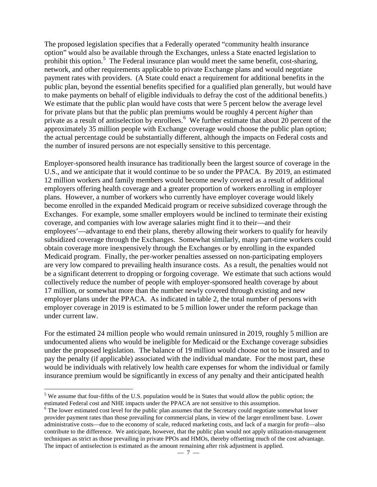The proposed legislation specifies that a Federally operated "community health insurance option" would also be available through the Exchanges, unless a State enacted legislation to prohibit this option.<sup>[5](#page-6-0)</sup> The Federal insurance plan would meet the same benefit, cost-sharing, network, and other requirements applicable to private Exchange plans and would negotiate payment rates with providers. (A State could enact a requirement for additional benefits in the public plan, beyond the essential benefits specified for a qualified plan generally, but would have to make payments on behalf of eligible individuals to defray the cost of the additional benefits.) We estimate that the public plan would have costs that were 5 percent below the average level for private plans but that the public plan premiums would be roughly 4 percent *higher* than private as a result of antiselection by enrollees.<sup>[6](#page-6-1)</sup> We further estimate that about 20 percent of the approximately 35 million people with Exchange coverage would choose the public plan option; the actual percentage could be substantially different, although the impacts on Federal costs and the number of insured persons are not especially sensitive to this percentage.

Employer-sponsored health insurance has traditionally been the largest source of coverage in the U.S., and we anticipate that it would continue to be so under the PPACA. By 2019, an estimated 12 million workers and family members would become newly covered as a result of additional employers offering health coverage and a greater proportion of workers enrolling in employer plans. However, a number of workers who currently have employer coverage would likely become enrolled in the expanded Medicaid program or receive subsidized coverage through the Exchanges. For example, some smaller employers would be inclined to terminate their existing coverage, and companies with low average salaries might find it to their—and their employees'—advantage to end their plans, thereby allowing their workers to qualify for heavily subsidized coverage through the Exchanges. Somewhat similarly, many part-time workers could obtain coverage more inexpensively through the Exchanges or by enrolling in the expanded Medicaid program. Finally, the per-worker penalties assessed on non-participating employers are very low compared to prevailing health insurance costs. As a result, the penalties would not be a significant deterrent to dropping or forgoing coverage. We estimate that such actions would collectively reduce the number of people with employer-sponsored health coverage by about 17 million, or somewhat more than the number newly covered through existing and new employer plans under the PPACA. As indicated in table 2, the total number of persons with employer coverage in 2019 is estimated to be 5 million lower under the reform package than under current law.

For the estimated 24 million people who would remain uninsured in 2019, roughly 5 million are undocumented aliens who would be ineligible for Medicaid or the Exchange coverage subsidies under the proposed legislation. The balance of 19 million would choose not to be insured and to pay the penalty (if applicable) associated with the individual mandate. For the most part, these would be individuals with relatively low health care expenses for whom the individual or family insurance premium would be significantly in excess of any penalty and their anticipated health

 $\overline{a}$ 

<span id="page-6-0"></span> $<sup>5</sup>$  We assume that four-fifths of the U.S. population would be in States that would allow the public option; the</sup> estimated Federal cost and NHE impacts under the PPACA are not sensitive to this assumption.

<span id="page-6-1"></span><sup>&</sup>lt;sup>6</sup> The lower estimated cost level for the public plan assumes that the Secretary could negotiate somewhat lower provider payment rates than those prevailing for commercial plans, in view of the larger enrollment base. Lower administrative costs—due to the economy of scale, reduced marketing costs, and lack of a margin for profit—also contribute to the difference. We anticipate, however, that the public plan would not apply utilization-management techniques as strict as those prevailing in private PPOs and HMOs, thereby offsetting much of the cost advantage. The impact of antiselection is estimated as the amount remaining after risk adjustment is applied.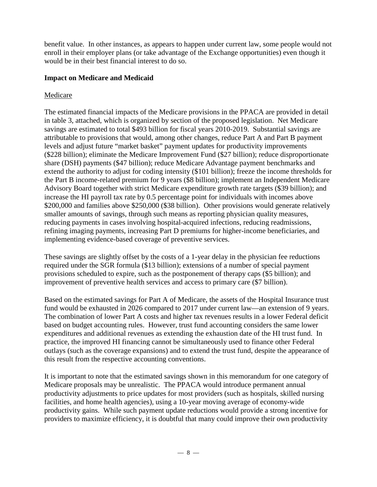benefit value. In other instances, as appears to happen under current law, some people would not enroll in their employer plans (or take advantage of the Exchange opportunities) even though it would be in their best financial interest to do so.

### **Impact on Medicare and Medicaid**

## Medicare

The estimated financial impacts of the Medicare provisions in the PPACA are provided in detail in table 3, attached, which is organized by section of the proposed legislation. Net Medicare savings are estimated to total \$493 billion for fiscal years 2010-2019. Substantial savings are attributable to provisions that would, among other changes, reduce Part A and Part B payment levels and adjust future "market basket" payment updates for productivity improvements (\$228 billion); eliminate the Medicare Improvement Fund (\$27 billion); reduce disproportionate share (DSH) payments (\$47 billion); reduce Medicare Advantage payment benchmarks and extend the authority to adjust for coding intensity (\$101 billion); freeze the income thresholds for the Part B income-related premium for 9 years (\$8 billion); implement an Independent Medicare Advisory Board together with strict Medicare expenditure growth rate targets (\$39 billion); and increase the HI payroll tax rate by 0.5 percentage point for individuals with incomes above \$200,000 and families above \$250,000 (\$38 billion). Other provisions would generate relatively smaller amounts of savings, through such means as reporting physician quality measures, reducing payments in cases involving hospital-acquired infections, reducing readmissions, refining imaging payments, increasing Part D premiums for higher-income beneficiaries, and implementing evidence-based coverage of preventive services.

These savings are slightly offset by the costs of a 1-year delay in the physician fee reductions required under the SGR formula (\$13 billion); extensions of a number of special payment provisions scheduled to expire, such as the postponement of therapy caps (\$5 billion); and improvement of preventive health services and access to primary care (\$7 billion).

Based on the estimated savings for Part A of Medicare, the assets of the Hospital Insurance trust fund would be exhausted in 2026 compared to 2017 under current law—an extension of 9 years. The combination of lower Part A costs and higher tax revenues results in a lower Federal deficit based on budget accounting rules. However, trust fund accounting considers the same lower expenditures and additional revenues as extending the exhaustion date of the HI trust fund. In practice, the improved HI financing cannot be simultaneously used to finance other Federal outlays (such as the coverage expansions) and to extend the trust fund, despite the appearance of this result from the respective accounting conventions.

It is important to note that the estimated savings shown in this memorandum for one category of Medicare proposals may be unrealistic. The PPACA would introduce permanent annual productivity adjustments to price updates for most providers (such as hospitals, skilled nursing facilities, and home health agencies), using a 10-year moving average of economy-wide productivity gains. While such payment update reductions would provide a strong incentive for providers to maximize efficiency, it is doubtful that many could improve their own productivity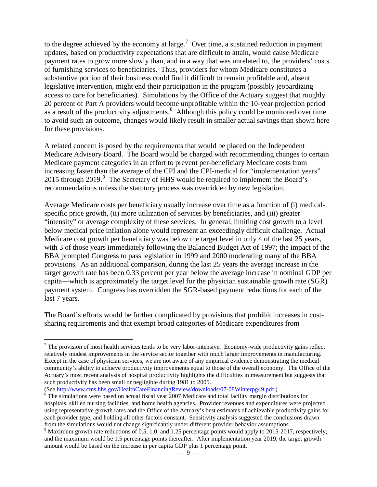to the degree achieved by the economy at large.<sup>[7](#page-8-0)</sup> Over time, a sustained reduction in payment updates, based on productivity expectations that are difficult to attain, would cause Medicare payment rates to grow more slowly than, and in a way that was unrelated to, the providers' costs of furnishing services to beneficiaries. Thus, providers for whom Medicare constitutes a substantive portion of their business could find it difficult to remain profitable and, absent legislative intervention, might end their participation in the program (possibly jeopardizing access to care for beneficiaries). Simulations by the Office of the Actuary suggest that roughly 20 percent of Part A providers would become unprofitable within the 10-year projection period as a result of the productivity adjustments.<sup>[8](#page-8-1)</sup> Although this policy could be monitored over time to avoid such an outcome, changes would likely result in smaller actual savings than shown here for these provisions.

A related concern is posed by the requirements that would be placed on the Independent Medicare Advisory Board. The Board would be charged with recommending changes to certain Medicare payment categories in an effort to prevent per-beneficiary Medicare costs from increasing faster than the average of the CPI and the CPI-medical for "implementation years" 2015 through 201[9](#page-8-2).<sup>9</sup> The Secretary of HHS would be required to implement the Board's recommendations unless the statutory process was overridden by new legislation.

Average Medicare costs per beneficiary usually increase over time as a function of (i) medicalspecific price growth, (ii) more utilization of services by beneficiaries, and (iii) greater "intensity" or average complexity of these services. In general, limiting cost growth to a level below medical price inflation alone would represent an exceedingly difficult challenge. Actual Medicare cost growth per beneficiary was below the target level in only 4 of the last 25 years, with 3 of those years immediately following the Balanced Budget Act of 1997; the impact of the BBA prompted Congress to pass legislation in 1999 and 2000 moderating many of the BBA provisions. As an additional comparison, during the last 25 years the average increase in the target growth rate has been 0.33 percent per year below the average increase in nominal GDP per capita—which is approximately the target level for the physician sustainable growth rate (SGR) payment system. Congress has overridden the SGR-based payment reductions for each of the last 7 years.

The Board's efforts would be further complicated by provisions that prohibit increases in costsharing requirements and that exempt broad categories of Medicare expenditures from

 $\overline{a}$ 

<span id="page-8-0"></span> $<sup>7</sup>$  The provision of most health services tends to be very labor-intensive. Economy-wide productivity gains reflect</sup> relatively modest improvements in the service sector together with much larger improvements in manufacturing. Except in the case of physician services, we are not aware of any empirical evidence demonstrating the medical community's ability to achieve productivity improvements equal to those of the overall economy. The Office of the Actuary's most recent analysis of hospital productivity highlights the difficulties in measurement but suggests that such productivity has been small or negligible during 1981 to 2005.<br>(See http://www.cms.hhs.gov/HealthCareFinancingReview/downloads/07-08Winterpg49.pdf.)

<span id="page-8-1"></span> $\delta$  The simulations were based on actual fiscal year 2007 Medicare and total facility margin distributions for hospitals, skilled nursing facilities, and home health agencies. Provider revenues and expenditures were projected using representative growth rates and the Office of the Actuary's best estimates of achievable productivity gains for each provider type, and holding all other factors constant. Sensitivity analysis suggested the conclusions drawn from the simulations would not change significantly under different provider behavior assumptions.

<span id="page-8-2"></span> $9$  Maximum growth rate reductions of 0.5, 1.0, and 1.25 percentage points would apply to 2015-2017, respectively, and the maximum would be 1.5 percentage points thereafter. After implementation year 2019, the target growth amount would be based on the increase in per capita GDP plus 1 percentage point.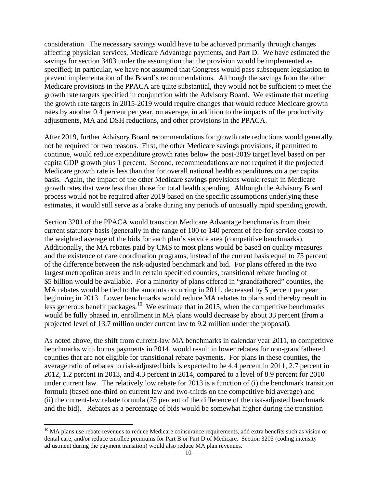consideration. The necessary savings would have to be achieved primarily through changes affecting physician services, Medicare Advantage payments, and Part D. We have estimated the savings for section 3403 under the assumption that the provision would be implemented as specified; in particular, we have not assumed that Congress would pass subsequent legislation to prevent implementation of the Board's recommendations. Although the savings from the other Medicare provisions in the PPACA are quite substantial, they would not be sufficient to meet the growth rate targets specified in conjunction with the Advisory Board. We estimate that meeting the growth rate targets in 2015-2019 would require changes that would reduce Medicare growth rates by another 0.4 percent per year, on average, in addition to the impacts of the productivity adjustments, MA and DSH reductions, and other provisions in the PPACA.

After 2019, further Advisory Board recommendations for growth rate reductions would generally not be required for two reasons. First, the other Medicare savings provisions, if permitted to continue, would reduce expenditure growth rates below the post-2019 target level based on per capita GDP growth plus 1 percent. Second, recommendations are not required if the projected Medicare growth rate is less than that for overall national health expenditures on a per capita basis. Again, the impact of the other Medicare savings provisions would result in Medicare growth rates that were less than those for total health spending. Although the Advisory Board process would not be required after 2019 based on the specific assumptions underlying these estimates, it would still serve as a brake during any periods of unusually rapid spending growth.

Section 3201 of the PPACA would transition Medicare Advantage benchmarks from their current statutory basis (generally in the range of 100 to 140 percent of fee-for-service costs) to the weighted average of the bids for each plan's service area (competitive benchmarks). Additionally, the MA rebates paid by CMS to most plans would be based on quality measures and the existence of care coordination programs, instead of the current basis equal to 75 percent of the difference between the risk-adjusted benchmark and bid. For plans offered in the two largest metropolitan areas and in certain specified counties, transitional rebate funding of \$5 billion would be available. For a minority of plans offered in "grandfathered" counties, the MA rebates would be tied to the amounts occurring in 2011, decreased by 5 percent per year beginning in 2013. Lower benchmarks would reduce MA rebates to plans and thereby result in less generous benefit packages.<sup>[10](#page-9-0)</sup> We estimate that in 2015, when the competitive benchmarks would be fully phased in, enrollment in MA plans would decrease by about 33 percent (from a projected level of 13.7 million under current law to 9.2 million under the proposal).

As noted above, the shift from current-law MA benchmarks in calendar year 2011, to competitive benchmarks with bonus payments in 2014, would result in lower rebates for non-grandfathered counties that are not eligible for transitional rebate payments. For plans in these counties, the average ratio of rebates to risk-adjusted bids is expected to be 4.4 percent in 2011, 2.7 percent in 2012, 1.2 percent in 2013, and 4.3 percent in 2014, compared to a level of 8.9 percent for 2010 under current law. The relatively low rebate for 2013 is a function of (i) the benchmark transition formula (based one-third on current law and two-thirds on the competitive bid average) and (ii) the current-law rebate formula (75 percent of the difference of the risk-adjusted benchmark and the bid). Rebates as a percentage of bids would be somewhat higher during the transition

<span id="page-9-0"></span> $\overline{a}$  $10$  MA plans use rebate revenues to reduce Medicare coinsurance requirements, add extra benefits such as vision or dental care, and/or reduce enrollee premiums for Part B or Part D of Medicare. Section 3203 (coding intensity adjustment during the payment transition) would also reduce MA plan revenues.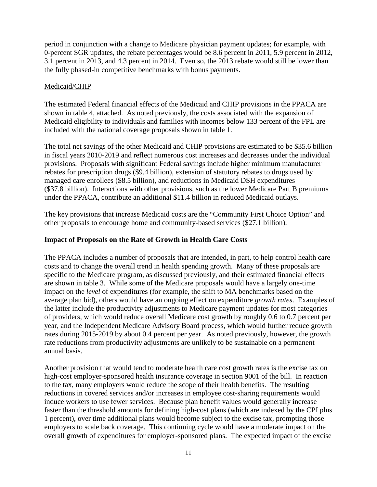period in conjunction with a change to Medicare physician payment updates; for example, with 0-percent SGR updates, the rebate percentages would be 8.6 percent in 2011, 5.9 percent in 2012, 3.1 percent in 2013, and 4.3 percent in 2014. Even so, the 2013 rebate would still be lower than the fully phased-in competitive benchmarks with bonus payments.

## Medicaid/CHIP

The estimated Federal financial effects of the Medicaid and CHIP provisions in the PPACA are shown in table 4, attached. As noted previously, the costs associated with the expansion of Medicaid eligibility to individuals and families with incomes below 133 percent of the FPL are included with the national coverage proposals shown in table 1.

The total net savings of the other Medicaid and CHIP provisions are estimated to be \$35.6 billion in fiscal years 2010-2019 and reflect numerous cost increases and decreases under the individual provisions. Proposals with significant Federal savings include higher minimum manufacturer rebates for prescription drugs (\$9.4 billion), extension of statutory rebates to drugs used by managed care enrollees (\$8.5 billion), and reductions in Medicaid DSH expenditures (\$37.8 billion). Interactions with other provisions, such as the lower Medicare Part B premiums under the PPACA, contribute an additional \$11.4 billion in reduced Medicaid outlays.

The key provisions that increase Medicaid costs are the "Community First Choice Option" and other proposals to encourage home and community-based services (\$27.1 billion).

### **Impact of Proposals on the Rate of Growth in Health Care Costs**

The PPACA includes a number of proposals that are intended, in part, to help control health care costs and to change the overall trend in health spending growth. Many of these proposals are specific to the Medicare program, as discussed previously, and their estimated financial effects are shown in table 3. While some of the Medicare proposals would have a largely one-time impact on the *level* of expenditures (for example, the shift to MA benchmarks based on the average plan bid), others would have an ongoing effect on expenditure *growth rates*. Examples of the latter include the productivity adjustments to Medicare payment updates for most categories of providers, which would reduce overall Medicare cost growth by roughly 0.6 to 0.7 percent per year, and the Independent Medicare Advisory Board process, which would further reduce growth rates during 2015-2019 by about 0.4 percent per year. As noted previously, however, the growth rate reductions from productivity adjustments are unlikely to be sustainable on a permanent annual basis.

Another provision that would tend to moderate health care cost growth rates is the excise tax on high-cost employer-sponsored health insurance coverage in section 9001 of the bill. In reaction to the tax, many employers would reduce the scope of their health benefits. The resulting reductions in covered services and/or increases in employee cost-sharing requirements would induce workers to use fewer services. Because plan benefit values would generally increase faster than the threshold amounts for defining high-cost plans (which are indexed by the CPI plus 1 percent), over time additional plans would become subject to the excise tax, prompting those employers to scale back coverage. This continuing cycle would have a moderate impact on the overall growth of expenditures for employer-sponsored plans. The expected impact of the excise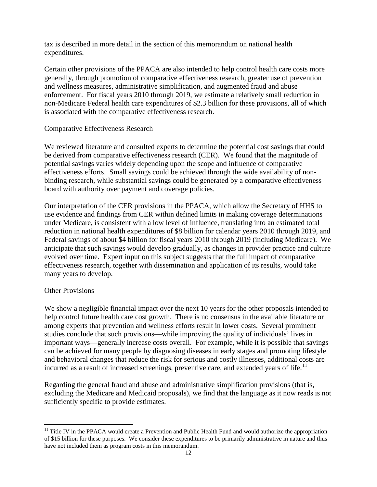tax is described in more detail in the section of this memorandum on national health expenditures.

Certain other provisions of the PPACA are also intended to help control health care costs more generally, through promotion of comparative effectiveness research, greater use of prevention and wellness measures, administrative simplification, and augmented fraud and abuse enforcement. For fiscal years 2010 through 2019, we estimate a relatively small reduction in non-Medicare Federal health care expenditures of \$2.3 billion for these provisions, all of which is associated with the comparative effectiveness research.

### Comparative Effectiveness Research

We reviewed literature and consulted experts to determine the potential cost savings that could be derived from comparative effectiveness research (CER). We found that the magnitude of potential savings varies widely depending upon the scope and influence of comparative effectiveness efforts. Small savings could be achieved through the wide availability of nonbinding research, while substantial savings could be generated by a comparative effectiveness board with authority over payment and coverage policies.

Our interpretation of the CER provisions in the PPACA, which allow the Secretary of HHS to use evidence and findings from CER within defined limits in making coverage determinations under Medicare, is consistent with a low level of influence, translating into an estimated total reduction in national health expenditures of \$8 billion for calendar years 2010 through 2019, and Federal savings of about \$4 billion for fiscal years 2010 through 2019 (including Medicare). We anticipate that such savings would develop gradually, as changes in provider practice and culture evolved over time. Expert input on this subject suggests that the full impact of comparative effectiveness research, together with dissemination and application of its results, would take many years to develop.

### Other Provisions

We show a negligible financial impact over the next 10 years for the other proposals intended to help control future health care cost growth. There is no consensus in the available literature or among experts that prevention and wellness efforts result in lower costs. Several prominent studies conclude that such provisions—while improving the quality of individuals' lives in important ways—generally increase costs overall. For example, while it is possible that savings can be achieved for many people by diagnosing diseases in early stages and promoting lifestyle and behavioral changes that reduce the risk for serious and costly illnesses, additional costs are incurred as a result of increased screenings, preventive care, and extended years of life.<sup>[11](#page-11-0)</sup>

Regarding the general fraud and abuse and administrative simplification provisions (that is, excluding the Medicare and Medicaid proposals), we find that the language as it now reads is not sufficiently specific to provide estimates.

<span id="page-11-0"></span> $\overline{a}$  $11$  Title IV in the PPACA would create a Prevention and Public Health Fund and would authorize the appropriation of \$15 billion for these purposes. We consider these expenditures to be primarily administrative in nature and thus have not included them as program costs in this memorandum.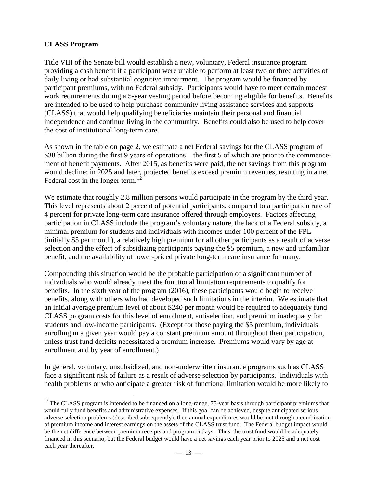### **CLASS Program**

Title VIII of the Senate bill would establish a new, voluntary, Federal insurance program providing a cash benefit if a participant were unable to perform at least two or three activities of daily living or had substantial cognitive impairment. The program would be financed by participant premiums, with no Federal subsidy. Participants would have to meet certain modest work requirements during a 5-year vesting period before becoming eligible for benefits. Benefits are intended to be used to help purchase community living assistance services and supports (CLASS) that would help qualifying beneficiaries maintain their personal and financial independence and continue living in the community. Benefits could also be used to help cover the cost of institutional long-term care.

As shown in the table on page 2, we estimate a net Federal savings for the CLASS program of \$38 billion during the first 9 years of operations—the first 5 of which are prior to the commencement of benefit payments. After 2015, as benefits were paid, the net savings from this program would decline; in 2025 and later, projected benefits exceed premium revenues, resulting in a net Federal cost in the longer term.<sup>12</sup>

We estimate that roughly 2.8 million persons would participate in the program by the third year. This level represents about 2 percent of potential participants, compared to a participation rate of 4 percent for private long-term care insurance offered through employers. Factors affecting participation in CLASS include the program's voluntary nature, the lack of a Federal subsidy, a minimal premium for students and individuals with incomes under 100 percent of the FPL (initially \$5 per month), a relatively high premium for all other participants as a result of adverse selection and the effect of subsidizing participants paying the \$5 premium, a new and unfamiliar benefit, and the availability of lower-priced private long-term care insurance for many.

Compounding this situation would be the probable participation of a significant number of individuals who would already meet the functional limitation requirements to qualify for benefits. In the sixth year of the program (2016), these participants would begin to receive benefits, along with others who had developed such limitations in the interim. We estimate that an initial average premium level of about \$240 per month would be required to adequately fund CLASS program costs for this level of enrollment, antiselection, and premium inadequacy for students and low-income participants. (Except for those paying the \$5 premium, individuals enrolling in a given year would pay a constant premium amount throughout their participation, unless trust fund deficits necessitated a premium increase. Premiums would vary by age at enrollment and by year of enrollment.)

In general, voluntary, unsubsidized, and non-underwritten insurance programs such as CLASS face a significant risk of failure as a result of adverse selection by participants. Individuals with health problems or who anticipate a greater risk of functional limitation would be more likely to

<span id="page-12-0"></span> $\overline{a}$  $12$  The CLASS program is intended to be financed on a long-range, 75-year basis through participant premiums that would fully fund benefits and administrative expenses. If this goal can be achieved, despite anticipated serious adverse selection problems (described subsequently), then annual expenditures would be met through a combination of premium income and interest earnings on the assets of the CLASS trust fund. The Federal budget impact would be the net difference between premium receipts and program outlays. Thus, the trust fund would be adequately financed in this scenario, but the Federal budget would have a net savings each year prior to 2025 and a net cost each year thereafter.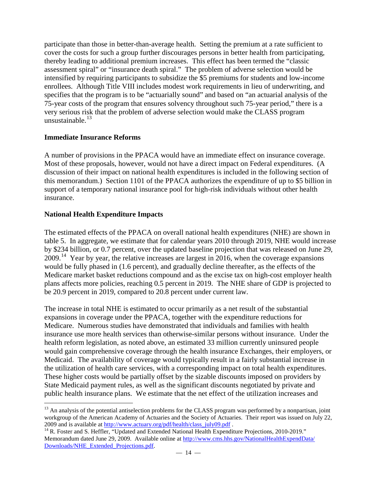participate than those in better-than-average health. Setting the premium at a rate sufficient to cover the costs for such a group further discourages persons in better health from participating, thereby leading to additional premium increases. This effect has been termed the "classic assessment spiral" or "insurance death spiral." The problem of adverse selection would be intensified by requiring participants to subsidize the \$5 premiums for students and low-income enrollees. Although Title VIII includes modest work requirements in lieu of underwriting, and specifies that the program is to be "actuarially sound" and based on "an actuarial analysis of the 75-year costs of the program that ensures solvency throughout such 75-year period," there is a very serious risk that the problem of adverse selection would make the CLASS program unsustainable. $13$ 

### **Immediate Insurance Reforms**

A number of provisions in the PPACA would have an immediate effect on insurance coverage. Most of these proposals, however, would not have a direct impact on Federal expenditures. (A discussion of their impact on national health expenditures is included in the following section of this memorandum.) Section 1101 of the PPACA authorizes the expenditure of up to \$5 billion in support of a temporary national insurance pool for high-risk individuals without other health insurance.

### **National Health Expenditure Impacts**

The estimated effects of the PPACA on overall national health expenditures (NHE) are shown in table 5. In aggregate, we estimate that for calendar years 2010 through 2019, NHE would increase by \$234 billion, or 0.7 percent, over the updated baseline projection that was released on June 29, 2009.[14](#page-13-1) Year by year, the relative increases are largest in 2016, when the coverage expansions would be fully phased in (1.6 percent), and gradually decline thereafter, as the effects of the Medicare market basket reductions compound and as the excise tax on high-cost employer health plans affects more policies, reaching 0.5 percent in 2019. The NHE share of GDP is projected to be 20.9 percent in 2019, compared to 20.8 percent under current law.

The increase in total NHE is estimated to occur primarily as a net result of the substantial expansions in coverage under the PPACA, together with the expenditure reductions for Medicare. Numerous studies have demonstrated that individuals and families with health insurance use more health services than otherwise-similar persons without insurance. Under the health reform legislation, as noted above, an estimated 33 million currently uninsured people would gain comprehensive coverage through the health insurance Exchanges, their employers, or Medicaid. The availability of coverage would typically result in a fairly substantial increase in the utilization of health care services, with a corresponding impact on total health expenditures. These higher costs would be partially offset by the sizable discounts imposed on providers by State Medicaid payment rules, as well as the significant discounts negotiated by private and public health insurance plans. We estimate that the net effect of the utilization increases and

<span id="page-13-0"></span> $\overline{a}$ <sup>13</sup> An analysis of the potential antiselection problems for the CLASS program was performed by a nonpartisan, joint workgroup of the American Academy of Actuaries and the Society of Actuaries. Their report was issued on July 22, 2009 and is available at http://www.actuary.org/pdf/health/class\_july09.pdf .<br><sup>14</sup> R. Foster and S. Heffler, "Updated and Extended National Health Expenditure Projections, 2010-2019."

<span id="page-13-1"></span>Memorandum dated June 29, 2009. Available online at [http://www.cms.hhs.gov/NationalHealthExpendData/](http://www.cms.hhs.gov/NationalHealthExpendData/Downloads/NHE_Extended_Projections.pdf) [Downloads/NHE\\_Extended\\_Projections.pdf.](http://www.cms.hhs.gov/NationalHealthExpendData/Downloads/NHE_Extended_Projections.pdf)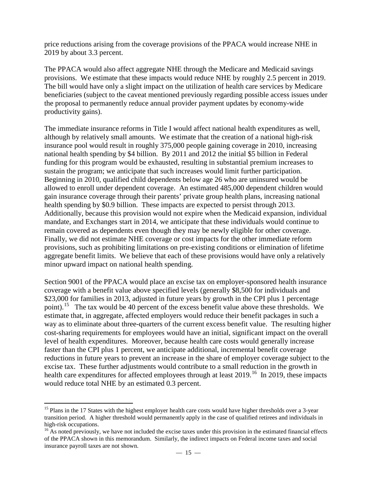price reductions arising from the coverage provisions of the PPACA would increase NHE in 2019 by about 3.3 percent.

The PPACA would also affect aggregate NHE through the Medicare and Medicaid savings provisions. We estimate that these impacts would reduce NHE by roughly 2.5 percent in 2019. The bill would have only a slight impact on the utilization of health care services by Medicare beneficiaries (subject to the caveat mentioned previously regarding possible access issues under the proposal to permanently reduce annual provider payment updates by economy-wide productivity gains).

The immediate insurance reforms in Title I would affect national health expenditures as well, although by relatively small amounts. We estimate that the creation of a national high-risk insurance pool would result in roughly 375,000 people gaining coverage in 2010, increasing national health spending by \$4 billion. By 2011 and 2012 the initial \$5 billion in Federal funding for this program would be exhausted, resulting in substantial premium increases to sustain the program; we anticipate that such increases would limit further participation. Beginning in 2010, qualified child dependents below age 26 who are uninsured would be allowed to enroll under dependent coverage. An estimated 485,000 dependent children would gain insurance coverage through their parents' private group health plans, increasing national health spending by \$0.9 billion. These impacts are expected to persist through 2013. Additionally, because this provision would not expire when the Medicaid expansion, individual mandate, and Exchanges start in 2014, we anticipate that these individuals would continue to remain covered as dependents even though they may be newly eligible for other coverage. Finally, we did not estimate NHE coverage or cost impacts for the other immediate reform provisions, such as prohibiting limitations on pre-existing conditions or elimination of lifetime aggregate benefit limits. We believe that each of these provisions would have only a relatively minor upward impact on national health spending.

Section 9001 of the PPACA would place an excise tax on employer-sponsored health insurance coverage with a benefit value above specified levels (generally \$8,500 for individuals and \$23,000 for families in 2013, adjusted in future years by growth in the CPI plus 1 percentage point).<sup>[15](#page-14-0)</sup> The tax would be 40 percent of the excess benefit value above these thresholds. We estimate that, in aggregate, affected employers would reduce their benefit packages in such a way as to eliminate about three-quarters of the current excess benefit value. The resulting higher cost-sharing requirements for employees would have an initial, significant impact on the overall level of health expenditures. Moreover, because health care costs would generally increase faster than the CPI plus 1 percent, we anticipate additional, incremental benefit coverage reductions in future years to prevent an increase in the share of employer coverage subject to the excise tax. These further adjustments would contribute to a small reduction in the growth in health care expenditures for affected employees through at least 2019.<sup>[16](#page-14-1)</sup> In 2019, these impacts would reduce total NHE by an estimated 0.3 percent.

<span id="page-14-0"></span> $\overline{a}$ <sup>15</sup> Plans in the 17 States with the highest employer health care costs would have higher thresholds over a 3-year transition period. A higher threshold would permanently apply in the case of qualified retirees and individuals in high-risk occupations.<br><sup>16</sup> As noted previously, we have not included the excise taxes under this provision in the estimated financial effects

<span id="page-14-1"></span>of the PPACA shown in this memorandum. Similarly, the indirect impacts on Federal income taxes and social insurance payroll taxes are not shown.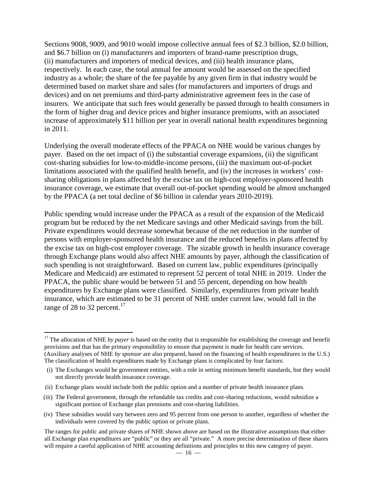Sections 9008, 9009, and 9010 would impose collective annual fees of \$2.3 billion, \$2.0 billion, and \$6.7 billion on (i) manufacturers and importers of brand-name prescription drugs, (ii) manufacturers and importers of medical devices, and (iii) health insurance plans, respectively. In each case, the total annual fee amount would be assessed on the specified industry as a whole; the share of the fee payable by any given firm in that industry would be determined based on market share and sales (for manufacturers and importers of drugs and devices) and on net premiums and third-party administrative agreement fees in the case of insurers. We anticipate that such fees would generally be passed through to health consumers in the form of higher drug and device prices and higher insurance premiums, with an associated increase of approximately \$11 billion per year in overall national health expenditures beginning in 2011.

Underlying the overall moderate effects of the PPACA on NHE would be various changes by payer. Based on the net impact of (i) the substantial coverage expansions, (ii) the significant cost-sharing subsidies for low-to-middle-income persons, (iii) the maximum out-of-pocket limitations associated with the qualified health benefit, and (iv) the increases in workers' costsharing obligations in plans affected by the excise tax on high-cost employer-sponsored health insurance coverage, we estimate that overall out-of-pocket spending would be almost unchanged by the PPACA (a net total decline of \$6 billion in calendar years 2010-2019).

Public spending would increase under the PPACA as a result of the expansion of the Medicaid program but be reduced by the net Medicare savings and other Medicaid savings from the bill. Private expenditures would decrease somewhat because of the net reduction in the number of persons with employer-sponsored health insurance and the reduced benefits in plans affected by the excise tax on high-cost employer coverage. The sizable growth in health insurance coverage through Exchange plans would also affect NHE amounts by payer, although the classification of such spending is not straightforward. Based on current law, public expenditures (principally Medicare and Medicaid) are estimated to represent 52 percent of total NHE in 2019. Under the PPACA, the public share would be between 51 and 55 percent, depending on how health expenditures by Exchange plans were classified. Similarly, expenditures from private health insurance, which are estimated to be 31 percent of NHE under current law, would fall in the range of 28 to 32 percent.<sup>17</sup>

<span id="page-15-0"></span> $\overline{a}$ <sup>17</sup> The allocation of NHE *by payer* is based on the entity that is responsible for establishing the coverage and benefit provisions and that has the primary responsibility to ensure that payment is made for health care services. (Auxiliary analyses of NHE *by sponsor* are also prepared, based on the financing of health expenditures in the U.S.) The classification of health expenditures made by Exchange plans is complicated by four factors:

<sup>(</sup>i) The Exchanges would be government entities, with a role in setting minimum benefit standards, but they would not directly provide health insurance coverage.

<sup>(</sup>ii) Exchange plans would include both the public option and a number of private health insurance plans.

<sup>(</sup>iii) The Federal government, through the refundable tax credits and cost-sharing reductions, would subsidize a significant portion of Exchange plan premiums and cost-sharing liabilities.

<sup>(</sup>iv) These subsidies would vary between zero and 95 percent from one person to another, regardless of whether the individuals were covered by the public option or private plans.

The ranges for public and private shares of NHE shown above are based on the illustrative assumptions that either all Exchange plan expenditures are "public" or they are all "private." A more precise determination of these shares will require a careful application of NHE accounting definitions and principles to this new category of payer.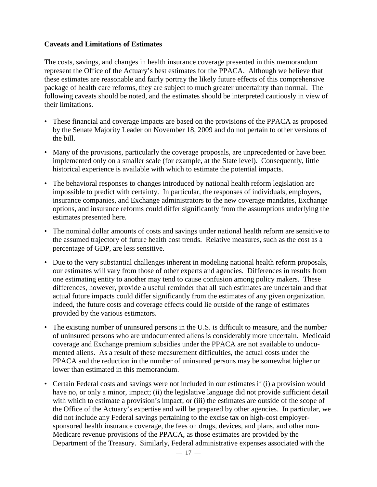### **Caveats and Limitations of Estimates**

The costs, savings, and changes in health insurance coverage presented in this memorandum represent the Office of the Actuary's best estimates for the PPACA. Although we believe that these estimates are reasonable and fairly portray the likely future effects of this comprehensive package of health care reforms, they are subject to much greater uncertainty than normal. The following caveats should be noted, and the estimates should be interpreted cautiously in view of their limitations.

- These financial and coverage impacts are based on the provisions of the PPACA as proposed by the Senate Majority Leader on November 18, 2009 and do not pertain to other versions of the bill.
- Many of the provisions, particularly the coverage proposals, are unprecedented or have been implemented only on a smaller scale (for example, at the State level). Consequently, little historical experience is available with which to estimate the potential impacts.
- The behavioral responses to changes introduced by national health reform legislation are impossible to predict with certainty. In particular, the responses of individuals, employers, insurance companies, and Exchange administrators to the new coverage mandates, Exchange options, and insurance reforms could differ significantly from the assumptions underlying the estimates presented here.
- The nominal dollar amounts of costs and savings under national health reform are sensitive to the assumed trajectory of future health cost trends. Relative measures, such as the cost as a percentage of GDP, are less sensitive.
- Due to the very substantial challenges inherent in modeling national health reform proposals, our estimates will vary from those of other experts and agencies. Differences in results from one estimating entity to another may tend to cause confusion among policy makers. These differences, however, provide a useful reminder that all such estimates are uncertain and that actual future impacts could differ significantly from the estimates of any given organization. Indeed, the future costs and coverage effects could lie outside of the range of estimates provided by the various estimators.
- The existing number of uninsured persons in the U.S. is difficult to measure, and the number of uninsured persons who are undocumented aliens is considerably more uncertain. Medicaid coverage and Exchange premium subsidies under the PPACA are not available to undocumented aliens. As a result of these measurement difficulties, the actual costs under the PPACA and the reduction in the number of uninsured persons may be somewhat higher or lower than estimated in this memorandum.
- Certain Federal costs and savings were not included in our estimates if (i) a provision would have no, or only a minor, impact; (ii) the legislative language did not provide sufficient detail with which to estimate a provision's impact; or (iii) the estimates are outside of the scope of the Office of the Actuary's expertise and will be prepared by other agencies. In particular, we did not include any Federal savings pertaining to the excise tax on high-cost employersponsored health insurance coverage, the fees on drugs, devices, and plans, and other non-Medicare revenue provisions of the PPACA, as those estimates are provided by the Department of the Treasury. Similarly, Federal administrative expenses associated with the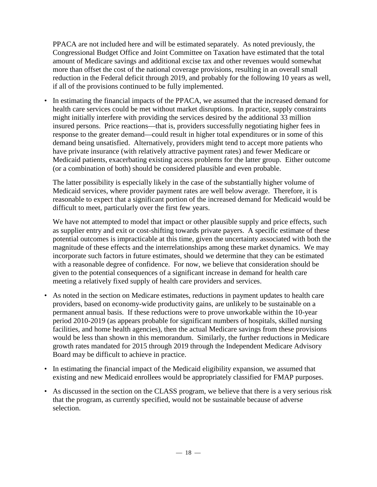PPACA are not included here and will be estimated separately. As noted previously, the Congressional Budget Office and Joint Committee on Taxation have estimated that the total amount of Medicare savings and additional excise tax and other revenues would somewhat more than offset the cost of the national coverage provisions, resulting in an overall small reduction in the Federal deficit through 2019, and probably for the following 10 years as well, if all of the provisions continued to be fully implemented.

• In estimating the financial impacts of the PPACA, we assumed that the increased demand for health care services could be met without market disruptions. In practice, supply constraints might initially interfere with providing the services desired by the additional 33 million insured persons. Price reactions—that is, providers successfully negotiating higher fees in response to the greater demand—could result in higher total expenditures or in some of this demand being unsatisfied. Alternatively, providers might tend to accept more patients who have private insurance (with relatively attractive payment rates) and fewer Medicare or Medicaid patients, exacerbating existing access problems for the latter group. Either outcome (or a combination of both) should be considered plausible and even probable.

The latter possibility is especially likely in the case of the substantially higher volume of Medicaid services, where provider payment rates are well below average. Therefore, it is reasonable to expect that a significant portion of the increased demand for Medicaid would be difficult to meet, particularly over the first few years.

We have not attempted to model that impact or other plausible supply and price effects, such as supplier entry and exit or cost-shifting towards private payers. A specific estimate of these potential outcomes is impracticable at this time, given the uncertainty associated with both the magnitude of these effects and the interrelationships among these market dynamics. We may incorporate such factors in future estimates, should we determine that they can be estimated with a reasonable degree of confidence. For now, we believe that consideration should be given to the potential consequences of a significant increase in demand for health care meeting a relatively fixed supply of health care providers and services.

- As noted in the section on Medicare estimates, reductions in payment updates to health care providers, based on economy-wide productivity gains, are unlikely to be sustainable on a permanent annual basis. If these reductions were to prove unworkable within the 10-year period 2010-2019 (as appears probable for significant numbers of hospitals, skilled nursing facilities, and home health agencies), then the actual Medicare savings from these provisions would be less than shown in this memorandum. Similarly, the further reductions in Medicare growth rates mandated for 2015 through 2019 through the Independent Medicare Advisory Board may be difficult to achieve in practice.
- In estimating the financial impact of the Medicaid eligibility expansion, we assumed that existing and new Medicaid enrollees would be appropriately classified for FMAP purposes.
- As discussed in the section on the CLASS program, we believe that there is a very serious risk that the program, as currently specified, would not be sustainable because of adverse selection.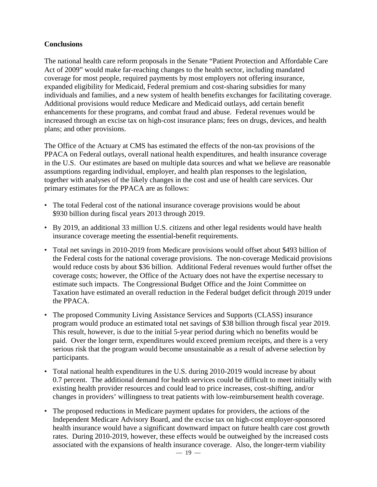## **Conclusions**

The national health care reform proposals in the Senate "Patient Protection and Affordable Care Act of 2009" would make far-reaching changes to the health sector, including mandated coverage for most people, required payments by most employers not offering insurance, expanded eligibility for Medicaid, Federal premium and cost-sharing subsidies for many individuals and families, and a new system of health benefits exchanges for facilitating coverage. Additional provisions would reduce Medicare and Medicaid outlays, add certain benefit enhancements for these programs, and combat fraud and abuse. Federal revenues would be increased through an excise tax on high-cost insurance plans; fees on drugs, devices, and health plans; and other provisions.

The Office of the Actuary at CMS has estimated the effects of the non-tax provisions of the PPACA on Federal outlays, overall national health expenditures, and health insurance coverage in the U.S. Our estimates are based on multiple data sources and what we believe are reasonable assumptions regarding individual, employer, and health plan responses to the legislation, together with analyses of the likely changes in the cost and use of health care services. Our primary estimates for the PPACA are as follows:

- The total Federal cost of the national insurance coverage provisions would be about \$930 billion during fiscal years 2013 through 2019.
- By 2019, an additional 33 million U.S. citizens and other legal residents would have health insurance coverage meeting the essential-benefit requirements.
- Total net savings in 2010-2019 from Medicare provisions would offset about \$493 billion of the Federal costs for the national coverage provisions. The non-coverage Medicaid provisions would reduce costs by about \$36 billion. Additional Federal revenues would further offset the coverage costs; however, the Office of the Actuary does not have the expertise necessary to estimate such impacts. The Congressional Budget Office and the Joint Committee on Taxation have estimated an overall reduction in the Federal budget deficit through 2019 under the PPACA.
- The proposed Community Living Assistance Services and Supports (CLASS) insurance program would produce an estimated total net savings of \$38 billion through fiscal year 2019. This result, however, is due to the initial 5-year period during which no benefits would be paid. Over the longer term, expenditures would exceed premium receipts, and there is a very serious risk that the program would become unsustainable as a result of adverse selection by participants.
- Total national health expenditures in the U.S. during 2010-2019 would increase by about 0.7 percent. The additional demand for health services could be difficult to meet initially with existing health provider resources and could lead to price increases, cost-shifting, and/or changes in providers' willingness to treat patients with low-reimbursement health coverage.
- The proposed reductions in Medicare payment updates for providers, the actions of the Independent Medicare Advisory Board, and the excise tax on high-cost employer-sponsored health insurance would have a significant downward impact on future health care cost growth rates. During 2010-2019, however, these effects would be outweighed by the increased costs associated with the expansions of health insurance coverage. Also, the longer-term viability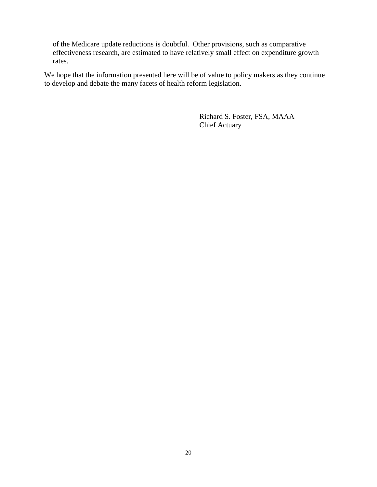of the Medicare update reductions is doubtful. Other provisions, such as comparative effectiveness research, are estimated to have relatively small effect on expenditure growth rates.

We hope that the information presented here will be of value to policy makers as they continue to develop and debate the many facets of health reform legislation.

> Richard S. Foster, FSA, MAAA Chief Actuary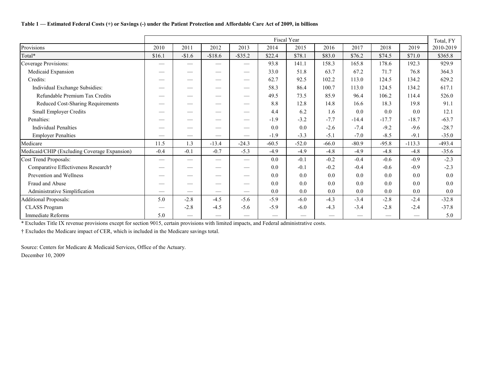### **Table 1 — Estimated Federal Costs (+) or Savings (-) under the Patient Protection and Affordable Care Act of 2009, in billions**

|                                              |                                               |                          |                          |                   |         | Fiscal Year |         |         |         |          | Total, FY |
|----------------------------------------------|-----------------------------------------------|--------------------------|--------------------------|-------------------|---------|-------------|---------|---------|---------|----------|-----------|
| Provisions                                   | 2010                                          | 2011                     | 2012                     | 2013              | 2014    | 2015        | 2016    | 2017    | 2018    | 2019     | 2010-2019 |
| Total*                                       | \$16.1                                        | $-\$1.6$                 | $-$18.6$                 | $-$ \$35.2        | \$22.4  | \$78.1      | \$83.0  | \$76.2  | \$74.5  | \$71.0   | \$365.8   |
| Coverage Provisions:                         |                                               |                          |                          |                   | 93.8    | 141.1       | 158.3   | 165.8   | 178.6   | 192.3    | 929.9     |
| Medicaid Expansion                           |                                               |                          |                          |                   | 33.0    | 51.8        | 63.7    | 67.2    | 71.7    | 76.8     | 364.3     |
| Credits:                                     |                                               |                          |                          |                   | 62.7    | 92.5        | 102.2   | 113.0   | 124.5   | 134.2    | 629.2     |
| Individual Exchange Subsidies:               |                                               |                          | $\overline{\phantom{a}}$ |                   | 58.3    | 86.4        | 100.7   | 113.0   | 124.5   | 134.2    | 617.1     |
| Refundable Premium Tax Credits               |                                               |                          | $\overline{\phantom{a}}$ |                   | 49.5    | 73.5        | 85.9    | 96.4    | 106.2   | 114.4    | 526.0     |
| Reduced Cost-Sharing Requirements            |                                               |                          |                          |                   | 8.8     | 12.8        | 14.8    | 16.6    | 18.3    | 19.8     | 91.1      |
| <b>Small Employer Credits</b>                |                                               |                          |                          | —                 | 4.4     | 6.2         | 1.6     | 0.0     | 0.0     | 0.0      | 12.1      |
| Penalties:                                   |                                               |                          |                          | —                 | $-1.9$  | $-3.2$      | $-7.7$  | $-14.4$ | $-17.7$ | $-18.7$  | $-63.7$   |
| <b>Individual Penalties</b>                  |                                               |                          | $\overline{\phantom{a}}$ |                   | 0.0     | 0.0         | $-2.6$  | $-7.4$  | $-9.2$  | $-9.6$   | $-28.7$   |
| <b>Employer Penalties</b>                    |                                               | $\frac{1}{2}$            |                          |                   | $-1.9$  | $-3.3$      | $-5.1$  | $-7.0$  | $-8.5$  | $-9.1$   | $-35.0$   |
| Medicare                                     | 11.5                                          | 1.3                      | $-13.4$                  | $-24.3$           | $-60.5$ | $-52.0$     | $-66.0$ | $-80.9$ | $-95.8$ | $-113.3$ | $-493.4$  |
| Medicaid/CHIP (Excluding Coverage Expansion) | $-0.4$                                        | $-0.1$                   | $-0.7$                   | $-5.3$            | $-4.9$  | $-4.9$      | $-4.8$  | $-4.9$  | $-4.8$  | $-4.8$   | $-35.6$   |
| Cost Trend Proposals:                        | $\qquad \qquad \overbrace{\qquad \qquad }^{}$ |                          |                          | $\hspace{0.05cm}$ | 0.0     | $-0.1$      | $-0.2$  | $-0.4$  | $-0.6$  | $-0.9$   | $-2.3$    |
| Comparative Effectiveness Research†          |                                               | $\overline{\phantom{a}}$ |                          |                   | 0.0     | $-0.1$      | $-0.2$  | $-0.4$  | $-0.6$  | $-0.9$   | $-2.3$    |
| Prevention and Wellness                      |                                               |                          |                          |                   | 0.0     | 0.0         | 0.0     | 0.0     | 0.0     | 0.0      | 0.0       |
| Fraud and Abuse                              |                                               |                          |                          |                   | 0.0     | 0.0         | 0.0     | 0.0     | 0.0     | 0.0      | 0.0       |
| Administrative Simplification                |                                               | $\hspace{0.05cm}$        |                          |                   | 0.0     | 0.0         | 0.0     | 0.0     | 0.0     | 0.0      | 0.0       |
| <b>Additional Proposals:</b>                 | 5.0                                           | $-2.8$                   | $-4.5$                   | $-5.6$            | $-5.9$  | $-6.0$      | $-4.3$  | $-3.4$  | $-2.8$  | $-2.4$   | $-32.8$   |
| <b>CLASS Program</b>                         |                                               | $-2.8$                   | $-4.5$                   | $-5.6$            | $-5.9$  | $-6.0$      | $-4.3$  | $-3.4$  | $-2.8$  | $-2.4$   | $-37.8$   |
| <b>Immediate Reforms</b>                     | 5.0                                           |                          |                          |                   |         |             |         |         |         |          | 5.0       |

\* Excludes Title IX revenue provisions except for section 9015, certain provisions with limited impacts, and Federal administrative costs.

† Excludes the Medicare impact of CER, which is included in the Medicare savings total.

Source: Centers for Medicare & Medicaid Services, Office of the Actuary. December 10, 2009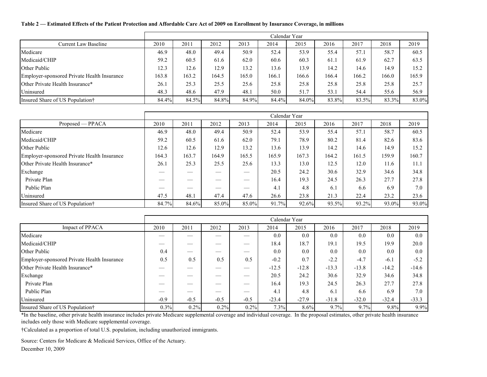#### **Table 2 — Estimated Effects of the Patient Protection and Affordable Care Act of 2009 on Enrollment by Insurance Coverage, in millions**

|                                             |       |       |       |       |       | Calendar Year |       |       |       |       |
|---------------------------------------------|-------|-------|-------|-------|-------|---------------|-------|-------|-------|-------|
| <b>Current Law Baseline</b>                 | 2010  | 2011  | 2012  | 2013  | 2014  | 2015          | 2016  | 2017  | 2018  | 2019  |
| Medicare                                    | 46.9  | 48.0  | 49.4  | 50.9  | 52.4  | 53.9          | 55.4  | 57.1  | 58.7  | 60.5  |
| Medicaid/CHIP                               | 59.2  | 60.5  | 61.6  | 62.0  | 60.6  | 60.3          | 61.1  | 61.9  | 62.7  | 63.5  |
| Other Public                                | 12.3  | 12.6  | 12.9  | 13.2  | 13.6  | 13.9          | 14.2  | 14.6  | 14.9  | 15.2  |
| Employer-sponsored Private Health Insurance | 163.8 | 163.2 | 164.5 | 165.0 | 166.1 | 166.6         | 166.4 | 166.2 | 166.0 | 165.9 |
| Other Private Health Insurance*             | 26.1  | 25.3  | 25.5  | 25.6  | 25.8  | 25.8          | 25.8  | 25.8  | 25.8  | 25.7  |
| Uninsured                                   | 48.3  | 48.6  | 47.9  | 48.1  | 50.0  | 51.7          | 53.1  | 54.4  | 55.6  | 56.9  |
| Insured Share of US Population†             | 84.4% | 84.5% | 84.8% | 84.9% | 84.4% | 84.0%         | 83.8% | 83.5% | 83.3% | 83.0% |

|                                             |       |       |       |       | Calendar Year |       |       |       |       |       |
|---------------------------------------------|-------|-------|-------|-------|---------------|-------|-------|-------|-------|-------|
| Proposed — PPACA                            | 2010  | 2011  | 2012  | 2013  | 2014          | 2015  | 2016  | 2017  | 2018  | 2019  |
| Medicare                                    | 46.9  | 48.0  | 49.4  | 50.9  | 52.4          | 53.9  | 55.4  | 57.1  | 58.7  | 60.5  |
| Medicaid/CHIP                               | 59.2  | 60.5  | 61.6  | 62.0  | 79.1          | 78.9  | 80.2  | 81.4  | 82.6  | 83.6  |
| <b>Other Public</b>                         | 12.6  | 12.6  | 12.9  | 13.2  | 13.6          | 13.9  | 14.2  | 14.6  | 14.9  | 15.2  |
| Employer-sponsored Private Health Insurance | 164.3 | 163.7 | 164.9 | 165.5 | 165.9         | 167.3 | 164.2 | 161.5 | 159.9 | 160.7 |
| Other Private Health Insurance*             | 26.1  | 25.3  | 25.5  | 25.6  | 13.3          | 13.0  | 12.5  | 12.0  | 11.6  | 11.1  |
| Exchange                                    |       |       | __    |       | 20.5          | 24.2  | 30.6  | 32.9  | 34.6  | 34.8  |
| Private Plan                                |       |       |       |       | 16.4          | 19.3  | 24.5  | 26.3  | 27.7  | 27.8  |
| Public Plan                                 |       |       |       |       | 4.1           | 4.8   | 6.1   | 6.6   | 6.9   | 7.0   |
| Uninsured                                   | 47.5  | 48.1  | 47.4  | 47.6  | 26.6          | 23.8  | 21.3  | 22.4  | 23.2  | 23.6  |
| Insured Share of US Population†             | 84.7% | 84.6% | 85.0% | 85.0% | 91.7%         | 92.6% | 93.5% | 93.2% | 93.0% | 93.0% |

|                                             |        |        |                          |        |         | Calendar Year |         |         |         |         |
|---------------------------------------------|--------|--------|--------------------------|--------|---------|---------------|---------|---------|---------|---------|
| Impact of PPACA                             | 2010   | 2011   | 2012                     | 2013   | 2014    | 2015          | 2016    | 2017    | 2018    | 2019    |
| Medicare                                    |        |        | $\overline{\phantom{a}}$ | __     | 0.0     | 0.0           | 0.0     | 0.0     | 0.0     | 0.0     |
| Medicaid/CHIP                               |        |        |                          |        | 18.4    | 18.7          | 19.1    | 19.5    | 19.9    | 20.0    |
| <b>Other Public</b>                         | 0.4    |        |                          |        | 0.0     | 0.0           | 0.0     | 0.0     | 0.0     | 0.0     |
| Employer-sponsored Private Health Insurance | 0.5    | 0.5    | 0.5                      | 0.5    | $-0.2$  | 0.7           | $-2.2$  | $-4.7$  | $-6.1$  | $-5.2$  |
| Other Private Health Insurance*             |        |        |                          |        | $-12.5$ | $-12.8$       | $-13.3$ | $-13.8$ | $-14.2$ | $-14.6$ |
| Exchange                                    |        |        | --                       | __     | 20.5    | 24.2          | 30.6    | 32.9    | 34.6    | 34.8    |
| Private Plan                                |        |        |                          |        | 16.4    | 19.3          | 24.5    | 26.3    | 27.7    | 27.8    |
| Public Plan                                 |        |        | $\overline{\phantom{a}}$ | __     | 4.1     | 4.8           | 6.1     | 6.6     | 6.9     | 7.0     |
| Uninsured                                   | $-0.9$ | $-0.5$ | $-0.5$                   | $-0.5$ | $-23.4$ | $-27.9$       | $-31.8$ | $-32.0$ | $-32.4$ | $-33.3$ |
| Insured Share of US Population†             | 0.3%   | 0.2%   | 0.2%                     | 0.2%   | 7.3%    | 8.6%          | 9.7%    | 9.7%    | $9.8\%$ | 9.9%    |

\*In the baseline, other private health insurance includes private Medicare supplemental coverage and individual coverage. In the proposal estimates, other private health insurance includes only those with Medicare supplemental coverage.

†Calculated as a proportion of total U.S. population, including unauthorized immigrants.

Source: Centers for Medicare & Medicaid Services, Office of the Actuary.

December 10, 2009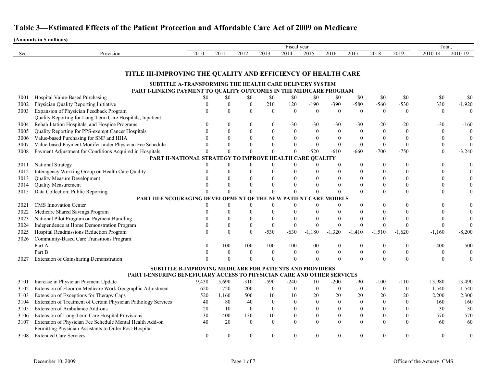|      |                                                                         |                  |                  |                  |                  | Fiscal year        |                |                |                  |                  |                  | Total.           |                    |
|------|-------------------------------------------------------------------------|------------------|------------------|------------------|------------------|--------------------|----------------|----------------|------------------|------------------|------------------|------------------|--------------------|
| Sec. | Provision                                                               | 2010             | 2011             | 2012             | 2013             | 2014               | 2015           | 2016           | 2017             | 2018             | 2019             | 2010-14          | 2010-19            |
|      |                                                                         |                  |                  |                  |                  |                    |                |                |                  |                  |                  |                  |                    |
|      |                                                                         |                  |                  |                  |                  |                    |                |                |                  |                  |                  |                  |                    |
|      | TITLE III-IMPROVING THE QUALITY AND EFFICIENCY OF HEALTH CARE           |                  |                  |                  |                  |                    |                |                |                  |                  |                  |                  |                    |
|      | SUBTITLE A-TRANSFORMING THE HEALTH CARE DELIVERY SYSTEM                 |                  |                  |                  |                  |                    |                |                |                  |                  |                  |                  |                    |
|      | PART I-LINKING PAYMENT TO QUALITY OUTCOMES IN THE MEDICARE PROGRAM      |                  |                  |                  |                  |                    |                |                |                  |                  |                  |                  |                    |
| 3001 | Hospital Value-Based Purchasing                                         | \$0              | \$0              | \$0              | \$0              | \$0                | \$0            | \$0            | \$0              | \$0              | \$0              | \$0              | \$0                |
| 3002 | Physician Quality Reporting Initiative                                  |                  | 0                | $\boldsymbol{0}$ | 210              | 120                | $-190$         | $-390$         | $-580$           | $-560$           | $-530$           | 330              | $-1,920$           |
| 3003 | Expansion of Physician Feedback Program                                 |                  | $\theta$         | $\boldsymbol{0}$ | $\theta$         | $\theta$           | $\theta$       | $\theta$       | $\mathbf{0}$     | $\mathbf{0}$     | $\overline{0}$   | $\overline{0}$   | $\left( 0 \right)$ |
|      | Quality Reporting for Long-Term Care Hospitals, Inpatient               |                  |                  |                  |                  |                    |                |                |                  |                  |                  |                  |                    |
| 3004 | Rehabilitation Hospitals, and Hospice Programs                          |                  | $\left( \right)$ | $\mathbf{0}$     | $\theta$         | $-30$              | $-30$          | $-30$          | $-30$            | $-20$            | $-20$            | $-30$            | $-160$             |
| 3005 | Quality Reporting for PPS-exempt Cancer Hospitals                       |                  | 0                | $\mathbf{0}$     | $\theta$         | $\theta$           | $\theta$       | $\Omega$       | $\overline{0}$   | $\theta$         | $\Omega$         | $\theta$         | $\overline{0}$     |
| 3006 | Value-based Purchasing for SNF and HHA                                  |                  | $\Omega$         | $\theta$         | $\theta$         |                    | $\Omega$       |                | $\overline{0}$   | $\mathbf{0}$     |                  | $\Omega$         |                    |
| 3007 | Value-based Payment Modifer under Physician Fee Schedule                |                  |                  | $\theta$         | $\Omega$         | $\Omega$           | $\theta$       | $\mathbf{0}$   | $\boldsymbol{0}$ | $\boldsymbol{0}$ |                  | $\theta$         | $\overline{0}$     |
| 3008 | Payment Adjustment for Conditions Acquired in Hospitals                 |                  |                  | $\theta$         |                  |                    | $-520$         | $-610$         | $-660$           | $-700$           | $-750$           | $\theta$         | $-3,240$           |
|      | PART II-NATIONAL STRATEGY TO IMPROVE HEALTH CARE QUALITY                |                  |                  |                  |                  |                    |                |                |                  |                  |                  |                  |                    |
| 3011 | National Strategy                                                       |                  | 0                | $\boldsymbol{0}$ | $\theta$         | $\Omega$           | $\theta$       |                | $\mathbf{0}$     | $\boldsymbol{0}$ |                  | $\Omega$         |                    |
| 3012 | Interagency Working Group on Health Care Quality                        |                  | 0                | $\theta$         |                  |                    |                |                | $\theta$         | $\boldsymbol{0}$ |                  | $\theta$         |                    |
| 3013 | <b>Quality Measure Development</b>                                      |                  |                  | $\theta$         |                  |                    |                |                | 0                | $\theta$         |                  |                  |                    |
| 3014 | <b>Quality Measurement</b>                                              |                  |                  | $\theta$         | $\Omega$         | $\theta$           | $\Omega$       |                | $\theta$         | $\boldsymbol{0}$ |                  |                  |                    |
| 3015 | Data Collection; Public Reporting                                       |                  |                  | $\theta$         |                  |                    | $\Omega$       |                | $\theta$         | $\overline{0}$   |                  | $\Omega$         |                    |
|      | PART III-ENCOURAGING DEVELOPMEN                                         |                  |                  | OF               | THE              | <b>NEW PATIENT</b> | ARE            | <b>MODELS</b>  |                  |                  |                  |                  |                    |
| 3021 | <b>CMS</b> Innovation Center                                            |                  | 0                | $\boldsymbol{0}$ | $\theta$         | $\theta$           | $\theta$       |                | 0                | $\theta$         |                  | $\Omega$         |                    |
| 3022 | Medicare Shared Savings Program                                         |                  |                  |                  |                  |                    |                |                |                  | $\Omega$         |                  |                  |                    |
| 3023 | National Pilot Program on Payment Bundling                              |                  |                  | $\theta$         |                  |                    |                |                |                  | $\Omega$         |                  |                  |                    |
| 3024 | Independence at Home Demonstration Program                              |                  | 0                | $\boldsymbol{0}$ | $\theta$         | $\theta$           | $\theta$       |                | $\theta$         | $\Omega$         |                  | $\theta$         |                    |
| 3025 | Hospital Readmissions Reduction Program                                 |                  | 0                | $\mathbf{0}$     | $-530$           | $-630$             | $-1,180$       | $-1,320$       | $-1,410$         | $-1,510$         | $-1,620$         | $-1,160$         | $-8,200$           |
| 3026 | Community-Based Care Transitions Program                                |                  |                  |                  |                  |                    |                |                |                  |                  |                  |                  |                    |
|      | Part A                                                                  |                  | 100              | 100              | 100              | 100                | 100            |                | $\boldsymbol{0}$ | $\boldsymbol{0}$ | $\bf{0}$         | 400              | 500                |
|      | Part B                                                                  |                  | 0                | $\boldsymbol{0}$ | $\theta$         | $\boldsymbol{0}$   | $\overline{0}$ |                | $\boldsymbol{0}$ | $\boldsymbol{0}$ | $\boldsymbol{0}$ | $\theta$         | $\bf{0}$           |
| 3027 | Extension of Gainsharing Demonstration                                  |                  |                  | $\theta$         | $\Omega$         | $\Omega$           | $\Omega$       |                | $\theta$         | $\Omega$         |                  | $\Omega$         | 0                  |
|      | <b>SUBTITLE B-IMPROVING MEDICARE FOR PATIENTS AND PROVIDERS</b>         |                  |                  |                  |                  |                    |                |                |                  |                  |                  |                  |                    |
|      | PART I-ENSURING BENEFICIARY ACCESS TO PHYSICIAN CARE AND OTHER SERVICES |                  |                  |                  |                  |                    |                |                |                  |                  |                  |                  |                    |
| 3101 | Increase in Physician Payment Update                                    | 9,430            | 5,690            | $-310$           | $-590$           | $-240$             | 10             | $-200$         | $-90$            | $-100$           | $-110$           | 13,980           | 13,490             |
| 3102 | Extension of Floor on Medicare Work Geographic Adjustment               | 620              | 720              | 200              | $\mathbf{0}$     | $\Omega$           | $\Omega$       |                | $\boldsymbol{0}$ | $\boldsymbol{0}$ | $\boldsymbol{0}$ | 1,540            | 1,540              |
| 3103 | Extension of Exceptions for Therapy Caps                                | 520              | 1,160            | 500              | 10               | 10                 | 20             | 20             | 20               | 20               | 20               | 2,200            | 2,300              |
| 3104 | Extension of Treatment of Certain Physician Pathology Services          | 40               | 80               | 40               | $\boldsymbol{0}$ | $\theta$           | $\mathbf{0}$   | $\theta$       | $\boldsymbol{0}$ | $\boldsymbol{0}$ | $\theta$         | 160              | 160                |
| 3105 | Extension of Ambulance Add-ons                                          | 20               | 10               | $\boldsymbol{0}$ | $\boldsymbol{0}$ |                    | $\theta$       |                | $\boldsymbol{0}$ | $\boldsymbol{0}$ |                  | 30               | 30                 |
| 3106 | Extension of Long-Term Care Hospital Provisions                         | 30               | 400              | 130              | 10               | $\theta$           | $\Omega$       | $\theta$       | $\boldsymbol{0}$ | $\boldsymbol{0}$ | $\mathbf{0}$     | 570              | 570                |
| 3107 | Extension of Physician Fee Schedule Mental Health Add-on                | 40               | 20               | $\boldsymbol{0}$ | $\boldsymbol{0}$ | $\boldsymbol{0}$   | $\theta$       | $\theta$       | $\boldsymbol{0}$ | $\boldsymbol{0}$ | $\boldsymbol{0}$ | 60               | 60                 |
|      | Permitting Physician Assistants to Order Post-Hospital                  |                  |                  |                  |                  |                    |                |                |                  |                  |                  |                  |                    |
| 3108 | <b>Extended Care Services</b>                                           | $\boldsymbol{0}$ | $\mathbf{0}$     | $\boldsymbol{0}$ | $\bf{0}$         | $\overline{0}$     | $\mathbf{0}$   | $\overline{0}$ | $\boldsymbol{0}$ | $\mathbf{0}$     | $\overline{0}$   | $\boldsymbol{0}$ | $\overline{0}$     |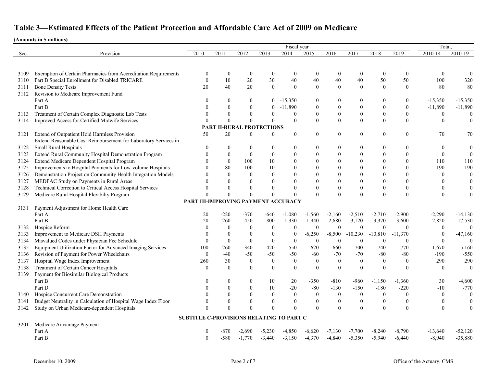|      |                                                                                                                 |                                          |                                  |                  |                  | Fiscal year        |                  |                  |                  |                  |                  | Total.       |                  |
|------|-----------------------------------------------------------------------------------------------------------------|------------------------------------------|----------------------------------|------------------|------------------|--------------------|------------------|------------------|------------------|------------------|------------------|--------------|------------------|
| Sec. | Provision                                                                                                       | 2010                                     | 2011                             | 2012             | 2013             | 2014               | 2015             | 2016             | 2017             | 2018             | 2019             | 2010-14      | 2010-19          |
|      |                                                                                                                 |                                          |                                  |                  |                  |                    |                  |                  |                  |                  |                  |              |                  |
| 3109 | Exemption of Certain Pharmacies from Accreditation Requirements                                                 | $\theta$                                 | $\mathbf{0}$                     | $\boldsymbol{0}$ | $\boldsymbol{0}$ | $\overline{0}$     | $\theta$         | $\boldsymbol{0}$ | $\bf{0}$         | $\boldsymbol{0}$ | $\theta$         | $\theta$     |                  |
| 3110 | Part B Special Enrollment for Disabled TRICARE                                                                  | $\theta$                                 | 10                               | 20               | 30               | 40                 | 40               | 40               | 40               | 50               | 50               | 100          | 320              |
| 3111 | <b>Bone Density Tests</b>                                                                                       | 20                                       | 40                               | 20               | $\mathbf{0}$     | $\theta$           | $\theta$         | $\theta$         | $\mathbf{0}$     | $\mathbf{0}$     | $\mathbf{0}$     | 80           | 80               |
| 3112 | Revision to Medicare Improvement Fund                                                                           |                                          |                                  |                  |                  |                    |                  |                  |                  |                  |                  |              |                  |
|      | Part A                                                                                                          |                                          | $\theta$                         | $\boldsymbol{0}$ | $\overline{0}$   | $-15,350$          | $\theta$         | $\theta$         | $\boldsymbol{0}$ | $\bf{0}$         | 0                | $-15,350$    | $-15,350$        |
|      | Part B                                                                                                          |                                          | $\Omega$                         | $\theta$         | $\theta$         | $-11,890$          | $\theta$         | $\theta$         | $\boldsymbol{0}$ | $\boldsymbol{0}$ | $\overline{0}$   | $-11,890$    | $-11,890$        |
| 3113 | Treatment of Certain Complex Diagnostic Lab Tests                                                               |                                          |                                  | $\theta$         | $\boldsymbol{0}$ | $\mathbf{0}$       | $\mathbf{0}$     | $\theta$         | $\boldsymbol{0}$ | $\boldsymbol{0}$ | $\overline{0}$   | $\theta$     |                  |
| 3114 | Improved Access for Certified Midwife Services                                                                  |                                          |                                  | $\theta$         | $\Omega$         | $\mathbf{0}$       | $\Omega$         | $\theta$         | $\boldsymbol{0}$ | $\mathbf{0}$     | $\theta$         | $\Omega$     |                  |
|      |                                                                                                                 |                                          | <b>PART II-RURAL PROTECTIONS</b> |                  |                  |                    |                  |                  |                  |                  |                  |              |                  |
| 3121 | Extend of Outpatient Hold Harmless Provision<br>Extend Reasonable Cost Reimbursement for Laboratory Services in | 50                                       | 20                               | $\theta$         | $\boldsymbol{0}$ | $\overline{0}$     | $\theta$         | $\mathbf{0}$     | $\boldsymbol{0}$ | $\boldsymbol{0}$ | 0                | 70           | 70               |
| 3122 | Small Rural Hospitals                                                                                           |                                          | 0                                | $\theta$         | $\boldsymbol{0}$ | $\theta$           |                  |                  | $\boldsymbol{0}$ | $\theta$         | 0                | $\theta$     |                  |
| 3123 | Extend Rural Community Hospital Demonstration Program                                                           |                                          | $\overline{0}$                   | $\mathbf{0}$     | $\boldsymbol{0}$ | $\theta$           |                  | $\Omega$         | $\overline{0}$   | $\mathbf{0}$     | $\theta$         | $\theta$     |                  |
| 3124 | Extend Medicare Dependent Hospital Program                                                                      |                                          | $\theta$                         | 100              | 10               | $\Omega$           |                  | $\Omega$         | $\theta$         | $\mathbf{0}$     | $\mathbf{0}$     | 110          | 110              |
| 3125 | Improvements to Hospital Payments for Low-volume Hospitals                                                      |                                          | 80                               | 100              | 10               | $\Omega$           |                  | $\Omega$         | $\theta$         | $\theta$         | $\theta$         | 190          | 190              |
| 3126 | Demonstration Project on Community Health Integration Models                                                    |                                          | $\theta$                         | $\boldsymbol{0}$ | $\mathbf{0}$     | $\theta$           |                  | $\theta$         | $\overline{0}$   | $\theta$         | $\mathbf{0}$     | $\Omega$     | $\boldsymbol{0}$ |
| 3127 | MEDPAC Study on Payments in Rural Areas                                                                         |                                          |                                  | $\mathbf{0}$     | $\boldsymbol{0}$ | $\Omega$           |                  | $\Omega$         | $\overline{0}$   | $\boldsymbol{0}$ | $\overline{0}$   |              |                  |
| 3128 | Technical Correction to Critical Access Hospital Services                                                       |                                          |                                  | $\boldsymbol{0}$ | $\theta$         |                    |                  | $\theta$         | $\boldsymbol{0}$ | $\boldsymbol{0}$ | $\boldsymbol{0}$ | $\theta$     |                  |
| 3129 | Medicare Rural Hospital Flexibilty Program                                                                      |                                          |                                  | $\theta$         | $\theta$         |                    |                  | $\Omega$         | $\boldsymbol{0}$ | $\theta$         | $\theta$         | $\theta$     |                  |
|      |                                                                                                                 | PART III-IMPROVING PAYMENT ACCURACY      |                                  |                  |                  |                    |                  |                  |                  |                  |                  |              |                  |
| 3131 | Payment Adjustment for Home Health Care                                                                         |                                          |                                  |                  |                  |                    |                  |                  |                  |                  |                  |              |                  |
|      | Part A                                                                                                          | 20                                       | $-220$                           | $-370$           | $-640$           | $-1,080$           | $-1,560$         | $-2,160$         | $-2,510$         | $-2,710$         | $-2,900$         | $-2,290$     | $-14,130$        |
|      | Part B                                                                                                          | 20                                       | $-260$                           | $-450$           | $-800$           | $-1,330$           | $-1,940$         | $-2,680$         | $-3,120$         | $-3,370$         | $-3,600$         | $-2,820$     | $-17,530$        |
| 3132 | Hospice Reform                                                                                                  |                                          | $\theta$                         | $\boldsymbol{0}$ | $\mathbf{0}$     | $\overline{0}$     | $\boldsymbol{0}$ | $\mathbf{0}$     | $\boldsymbol{0}$ | $\boldsymbol{0}$ | $\theta$         | $\theta$     | $\theta$         |
| 3133 | Improvement to Medicare DSH Payments                                                                            |                                          | $\theta$                         | $\boldsymbol{0}$ | $\boldsymbol{0}$ | $\boldsymbol{0}$   | $-6,250$         | $-8,500$         | $-10,230$        | $-10,810$        | $-11,370$        | $\theta$     | $-47,160$        |
| 3134 | Misvalued Codes under Physician Fee Schedule                                                                    | $\theta$                                 | $\boldsymbol{0}$                 | $\boldsymbol{0}$ | $\boldsymbol{0}$ | $\boldsymbol{0}$   | $\boldsymbol{0}$ | $\boldsymbol{0}$ | $\boldsymbol{0}$ | $\boldsymbol{0}$ | $\mathbf{0}$     | $\theta$     |                  |
| 3135 | Equipment Utilization Factor for Advanced Imaging Services                                                      | $-100$                                   | $-260$                           | $-340$           | $-420$           | $-550$             | $-620$           | $-660$           | $-700$           | $-740$           | $-770$           | $-1,670$     | $-5,160$         |
| 3136 | Revision of Payment for Power Wheelchairs                                                                       | $\boldsymbol{0}$                         | $-40$                            | $-50$            | $-50$            | $-50$              | $-60$            | $-70$            | $-70$            | $-80$            | $-80$            | $-190$       | $-550$           |
| 3137 | Hospital Wage Index Improvement                                                                                 | 260                                      | 30                               | $\boldsymbol{0}$ | $\boldsymbol{0}$ | $\boldsymbol{0}$   | $\boldsymbol{0}$ | $\boldsymbol{0}$ | $\boldsymbol{0}$ | $\boldsymbol{0}$ | $\boldsymbol{0}$ | 290          | 290              |
| 3138 | Treatment of Certain Cancer Hospitals                                                                           | $\Omega$                                 | $\Omega$                         | $\boldsymbol{0}$ | $\theta$         | $\Omega$           | $\Omega$         | $\Omega$         | $\boldsymbol{0}$ | $\theta$         | $\theta$         | $\theta$     | $\Omega$         |
| 3139 | Payment for Biosimilar Biological Products                                                                      |                                          |                                  |                  |                  |                    |                  |                  |                  |                  |                  |              |                  |
|      | Part B                                                                                                          | $\Omega$                                 | $\bf{0}$                         | $\theta$         | 10               | 20                 | $-350$           | $-810$           | $-960$           | $-1,150$         | $-1,360$         | 30           | $-4,600$         |
|      | Part D                                                                                                          |                                          | 0                                | $\theta$         | 10               | $-20$              | $-80$            | $-130$           | $-150$           | $-180$           | $-220$           | $-10$        | $-770$           |
| 3140 | Hospice Concurrent Care Demonstration                                                                           |                                          | $\bf{0}$                         | $\bf{0}$         | $\boldsymbol{0}$ | $\left( 0 \right)$ | $\Omega$         | $\boldsymbol{0}$ | $\overline{0}$   | $\overline{0}$   | $\Omega$         | $\theta$     | $\Omega$         |
| 3141 | Budget Neutrality in Calculation of Hospital Wage Index Floor                                                   |                                          |                                  | $\boldsymbol{0}$ | $\boldsymbol{0}$ | $\mathbf{0}$       |                  | $\boldsymbol{0}$ | $\boldsymbol{0}$ | $\boldsymbol{0}$ | $\overline{0}$   | $\mathbf{0}$ |                  |
| 3142 | Study on Urban Medicare-dependent Hospitals                                                                     | $\Omega$                                 |                                  | $\boldsymbol{0}$ | $\boldsymbol{0}$ |                    | $\Omega$         | $\Omega$         | $\boldsymbol{0}$ | $\mathbf{0}$     | $\mathbf{0}$     | $\mathbf{0}$ | $\boldsymbol{0}$ |
|      |                                                                                                                 | SUBTITLE C-PROVISIONS RELATING TO PART C |                                  |                  |                  |                    |                  |                  |                  |                  |                  |              |                  |
| 3201 | Medicare Advantage Payment                                                                                      |                                          |                                  |                  |                  |                    |                  |                  |                  |                  |                  |              |                  |
|      | Part A                                                                                                          | $\boldsymbol{0}$                         | -870                             | $-2,690$         | $-5,230$         | $-4,850$           | $-6,620$         | $-7,130$         | $-7,700$         | $-8,240$         | $-8,790$         | $-13,640$    | $-52,120$        |
|      | Part B                                                                                                          | $\theta$                                 | $-580$                           | $-1,770$         | $-3,440$         | $-3,150$           | $-4,370$         | $-4,840$         | $-5,350$         | $-5,940$         | $-6,440$         | $-8,940$     | $-35,880$        |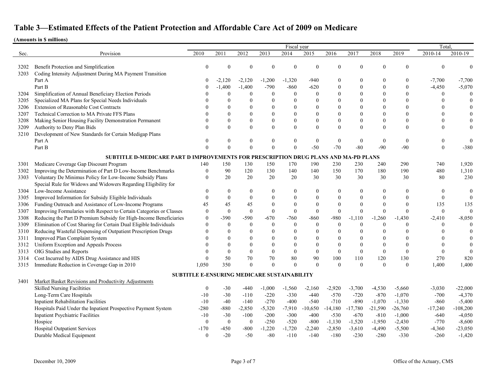|      |                                                                                     |                                                    |              |                  |                  | Fiscal year      |                  |              |                  |                  |                | Total.         |              |
|------|-------------------------------------------------------------------------------------|----------------------------------------------------|--------------|------------------|------------------|------------------|------------------|--------------|------------------|------------------|----------------|----------------|--------------|
| Sec. | Provision                                                                           | 2010                                               | 2011         | 2012             | 2013             | 2014             | 2015             | 2016         | 2017             | 2018             | 2019           | 2010-14        | 2010-19      |
|      |                                                                                     |                                                    |              |                  |                  |                  |                  |              |                  |                  |                |                |              |
| 3202 | Benefit Protection and Simplification                                               | $\Omega$                                           | ∩            | $\sqrt{ }$       | $\Omega$         |                  |                  |              | $\theta$         |                  | 0              |                |              |
| 3203 | Coding Intensity Adjustment During MA Payment Transition                            |                                                    |              |                  |                  |                  |                  |              |                  |                  |                |                |              |
|      | Part A                                                                              |                                                    | $-2,120$     | $-2,120$         | $-1,200$         | $-1,320$         | $-940$           | 0            | $\boldsymbol{0}$ |                  | 0              | $-7,700$       | $-7,700$     |
|      | Part B                                                                              |                                                    | $-1,400$     | $-1,400$         | $-790$           | $-860$           | $-620$           | $\Omega$     | $\boldsymbol{0}$ | $\theta$         | $\overline{0}$ | $-4,450$       | $-5,070$     |
| 3204 | Simplification of Annual Beneficiary Election Periods                               |                                                    | $\theta$     | $\theta$         | $\theta$         | $\theta$         | $\Omega$         |              | $\mathbf{0}$     | $\theta$         | $\theta$       | $\theta$       | $\theta$     |
| 3205 | Specialized MA Plans for Special Needs Individuals                                  |                                                    | ∩            | $\theta$         | $\Omega$         |                  |                  |              | $\mathbf{0}$     | $\Omega$         | 0              |                |              |
| 3206 | <b>Extension of Reasonable Cost Contracts</b>                                       |                                                    |              | $\Omega$         | $\theta$         |                  |                  |              | $\theta$         | $\Omega$         | $\theta$       |                |              |
| 3207 | Technical Correction to MA Private FFS Plans                                        |                                                    |              | $\Omega$         | $\theta$         |                  |                  |              | $\theta$         | $\theta$         | $\theta$       |                |              |
| 3208 | Making Senior Housing Facility Demonstration Permanent                              |                                                    | $\Omega$     | $\boldsymbol{0}$ | $\boldsymbol{0}$ |                  |                  |              | $\mathbf{0}$     | $\theta$         | $\theta$       |                |              |
| 3209 | Authority to Deny Plan Bids                                                         |                                                    | $\Omega$     | $\boldsymbol{0}$ | $\theta$         | $\Omega$         |                  | $\Omega$     | $\boldsymbol{0}$ | $\boldsymbol{0}$ | $\theta$       |                | $\theta$     |
| 3210 | Development of New Standards for Certain Medigap Plans                              |                                                    |              |                  |                  |                  |                  |              |                  |                  |                |                |              |
|      | Part A                                                                              |                                                    |              | $\boldsymbol{0}$ | $\boldsymbol{0}$ | $\theta$         | $\theta$         | 0            | $\boldsymbol{0}$ | $\boldsymbol{0}$ | $\theta$       |                |              |
|      | Part B                                                                              | $\theta$                                           | $\Omega$     | $\Omega$         | $\theta$         |                  | $-50$            | $-70$        | $-80$            | $-90$            | $-90$          | $\overline{0}$ | $-380$       |
|      | SUBTITLE D-MEDICARE PART D IMPROVEMENTS FOR PRESCRIPTION DRUG PLANS AND MA-PD PLANS |                                                    |              |                  |                  |                  |                  |              |                  |                  |                |                |              |
| 3301 | Medicare Coverage Gap Discount Program                                              | 140                                                | 150          | 130              | 150              | 170              | 190              | 230          | 230              | 240              | 290            | 740            | 1,920        |
| 3302 | Improving the Determination of Part D Low-Income Benchmarks                         | $\boldsymbol{0}$                                   | 90           | 120              | 130              | 140              | 140              | 150          | 170              | 180              | 190            | 480            | 1,310        |
| 3303 | Voluntary De Minimus Policy for Low-Income Subsidy Plans                            | $\Omega$                                           | 20           | 20               | 20               | 20               | 30               | 30           | 30               | 30               | 30             | 80             | 230          |
|      | Special Rule for Widows and Widowers Regarding Eligibility for                      |                                                    |              |                  |                  |                  |                  |              |                  |                  |                |                |              |
| 3304 | Low-Income Assistance                                                               | $\Omega$                                           | $\theta$     | $\overline{0}$   | $\mathbf{0}$     | $\Omega$         | $\Omega$         | 0            | $\boldsymbol{0}$ | $\overline{0}$   | 0              | $\theta$       | $\mathbf{0}$ |
| 3305 | Improved Information for Subsidy Eligible Individuals                               | $\Omega$                                           | $\theta$     | $\overline{0}$   | $\mathbf{0}$     |                  |                  |              | $\mathbf{0}$     | $\theta$         | $\theta$       | $\theta$       | $\theta$     |
| 3306 | Funding Outreach and Assistance of Low-Income Programs                              | 45                                                 | 45           | 45               | $\theta$         |                  |                  |              | $\theta$         |                  | $\theta$       | 135            | 135          |
| 3307 | Improving Formularies with Respect to Certain Categories or Classes                 | $\theta$                                           | $\mathbf{0}$ | $\boldsymbol{0}$ | $\overline{0}$   | $\theta$         | $\theta$         | $\Omega$     | $\mathbf{0}$     | $\theta$         | $\theta$       | $\overline{0}$ | $\theta$     |
| 3308 | Reducing the Part D Premium Subsidy for High-Income Beneficiaries                   | $\theta$                                           | $-390$       | $-590$           | $-670$           | $-760$           | $-860$           | $-980$       | $-1,110$         | $-1,260$         | $-1,430$       | $-2,410$       | $-8,050$     |
| 3309 | Elimination of Cost Sharing for Certain Dual Eligible Individuals                   |                                                    | $\theta$     | $\boldsymbol{0}$ | $\boldsymbol{0}$ | $\mathbf{0}$     | $\boldsymbol{0}$ | $\mathbf{0}$ | $\boldsymbol{0}$ | $\mathbf{0}$     | $\theta$       |                | $\theta$     |
| 3310 | Reducing Wasteful Dispensing of Outpatient Prescription Drugs                       |                                                    | $\Omega$     | $\boldsymbol{0}$ | $\mathbf{0}$     |                  |                  |              | $\boldsymbol{0}$ |                  | 0              |                |              |
| 3311 | Improved Plan Complaint System                                                      |                                                    |              | $\theta$         | $\theta$         |                  |                  |              | $\theta$         |                  | 0              |                |              |
| 3312 | Uniform Exception and Appeals Process                                               |                                                    |              | $\mathbf{0}$     | $\theta$         |                  |                  | $\Omega$     | $\boldsymbol{0}$ | $\mathbf{0}$     | $\theta$       |                |              |
| 3313 | OIG Studies and Reports                                                             |                                                    | $\Omega$     | $\boldsymbol{0}$ | $\boldsymbol{0}$ | $\boldsymbol{0}$ | $\mathbf{0}$     | $\mathbf{0}$ | $\boldsymbol{0}$ | $\overline{0}$   | $\theta$       |                |              |
| 3314 | Cost Incurred by AIDS Drug Assistance and HIS                                       |                                                    | 50           | 70               | 70               | 80               | 90               | 100          | 110              | 120              | 130            | 270            | 820          |
| 3315 | Immediate Reduction in Coverage Gap in 2010                                         | 1,050                                              | 350          | $\theta$         | $\theta$         | $\Omega$         | $\Omega$         | 0            | $\mathbf{0}$     | $\theta$         | $\mathbf{0}$   | 1,400          | 1,400        |
|      |                                                                                     |                                                    |              |                  |                  |                  |                  |              |                  |                  |                |                |              |
|      |                                                                                     | <b>SUBTITLE E-ENSURING MEDICARE SUSTAINABILITY</b> |              |                  |                  |                  |                  |              |                  |                  |                |                |              |
| 3401 | Market Basket Revisions and Productivity Adjustments                                |                                                    |              |                  |                  |                  |                  |              |                  |                  |                |                |              |
|      | <b>Skilled Nursing Faciltities</b>                                                  | $\bf{0}$                                           | $-30$        | -440             | $-1,000$         | $-1,560$         | $-2,160$         | $-2,920$     | $-3,700$         | $-4,530$         | $-5,660$       | $-3,030$       | $-22,000$    |
|      | Long-Term Care Hospitals                                                            | $-10$                                              | $-30$        | $-110$           | $-220$           | $-330$           | $-440$           | $-570$       | $-720$           | $-870$           | $-1,070$       | $-700$         | $-4,370$     |
|      | <b>Inpatient Rehabilitation Facilities</b>                                          | $-10$                                              | $-40$        | $-140$           | $-270$           | $-400$           | $-540$           | $-710$       | $-890$           | $-1,070$         | $-1,330$       | $-860$         | $-5,400$     |
|      | Hospitals Paid Under the Inpatient Prospective Payment System                       | $-280$                                             | $-880$       | $-2,850$         | $-5,320$         | $-7,910$         | $-10,650$        | $-14,180$    | $-17,780$        | $-21,590$        | $-26,760$      | $-17,240$      | $-108,200$   |
|      | <b>Inpatient Psychiatric Facilities</b>                                             | $-10$                                              | $-30$        | $-100$           | $-200$           | $-300$           | $-400$           | $-530$       | $-670$           | $-810$           | $-1,000$       | $-640$         | $-4,050$     |
|      | Hospice                                                                             | $\boldsymbol{0}$                                   | $\mathbf{0}$ | $\bf{0}$         | $-250$           | $-520$           | $-800$           | $-1,130$     | $-1,520$         | $-1,950$         | $-2,430$       | $-770$         | $-8,600$     |
|      | <b>Hospital Outpatient Services</b>                                                 | $-170$                                             | $-450$       | $-800$           | $-1,220$         | $-1,720$         | $-2,240$         | $-2,850$     | $-3,610$         | $-4,490$         | $-5,500$       | $-4,360$       | $-23,050$    |
|      | Durable Medical Equipment                                                           | $\theta$                                           | $-20$        | $-50$            | $-80$            | $-110$           | $-140$           | $-180$       | $-230$           | $-280$           | $-330$         | $-260$         | $-1,420$     |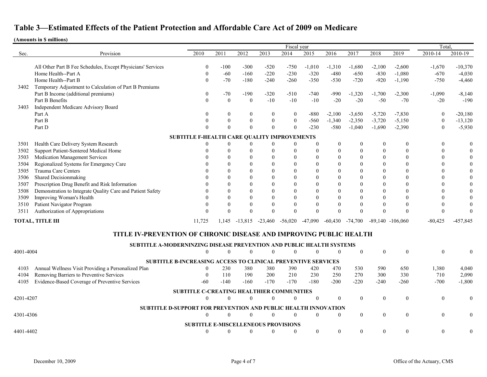|           |                                                                       |                                                  |                  |                  |                | Fiscal vear      |                    |                |                  |                  |                      | Total              |                |
|-----------|-----------------------------------------------------------------------|--------------------------------------------------|------------------|------------------|----------------|------------------|--------------------|----------------|------------------|------------------|----------------------|--------------------|----------------|
| Sec.      | Provision                                                             | 2010                                             | 2011             | 2012             | 2013           | 2014             | 2015               | 2016           | 2017             | 2018             | 2019                 | 2010-14            | 2010-19        |
|           |                                                                       |                                                  |                  |                  |                |                  |                    |                |                  |                  |                      |                    |                |
|           | All Other Part B Fee Schedules, Except Physicians' Services           | $\mathbf{0}$                                     | $-100$<br>$-60$  | $-300$<br>$-160$ | $-520$         | $-750$           | $-1,010$<br>$-320$ | $-1,310$       | $-1,680$         | $-2,100$         | $-2,600$             | $-1,670$<br>$-670$ | $-10,370$      |
|           | Home Health--Part A<br>Home Health--Part B                            | $\Omega$                                         | $-70$            | $-180$           | $-220$         | $-230$           |                    | $-480$         | $-650$<br>$-720$ | $-830$           | $-1,080$             |                    | $-4,030$       |
| 3402      | Temporary Adjustment to Calculation of Part B Premiums                |                                                  |                  |                  | $-240$         | $-260$           | $-350$             | $-530$         |                  | $-920$           | $-1,190$             | $-750$             | $-4,460$       |
|           | Part B Income (additional premiums)                                   | $\theta$                                         | $-70$            | $-190$           | $-320$         | $-510$           | $-740$             | $-990$         | $-1,320$         | $-1,700$         | $-2,300$             | $-1,090$           | $-8,140$       |
|           | Part B Benefits                                                       | $\theta$                                         | $\boldsymbol{0}$ | $\mathbf{0}$     | $-10$          | $-10$            | $-10$              | $-20$          | $-20$            | $-50$            | $-70$                | $-20$              | $-190$         |
| 3403      | Independent Medicare Advisory Board                                   |                                                  |                  |                  |                |                  |                    |                |                  |                  |                      |                    |                |
|           | Part A                                                                | $\theta$                                         | $\theta$         | $\boldsymbol{0}$ | $\bf{0}$       | $\boldsymbol{0}$ | $-880$             | $-2,100$       | $-3,650$         | $-5,720$         | $-7,830$             | $\theta$           | $-20,180$      |
|           | Part B                                                                |                                                  | $\theta$         | $\mathbf{0}$     | $\overline{0}$ | $\mathbf{0}$     | $-560$             | $-1,340$       | $-2,350$         | $-3,720$         | $-5,150$             | $\theta$           | $-13,120$      |
|           | Part D                                                                |                                                  | $\Omega$         | $\theta$         | $\theta$       | $\Omega$         | $-230$             | $-580$         | $-1,040$         | $-1,690$         | $-2,390$             | $\theta$           | $-5,930$       |
|           |                                                                       | SUBTITLE F-HEALTH CARE QUALITY IMPROVEMENTS      |                  |                  |                |                  |                    |                |                  |                  |                      |                    |                |
| 3501      | Health Care Delivery System Research                                  |                                                  | $\boldsymbol{0}$ | $\boldsymbol{0}$ | $\mathbf{0}$   | $\mathbf{0}$     | $\Omega$           | $\theta$       | $\boldsymbol{0}$ | $\boldsymbol{0}$ | 0                    | $\left($           | $\mathbf{0}$   |
| 3502      | Support Patient-Sentered Medical Home                                 |                                                  | $\Omega$         | $\theta$         | $\theta$       |                  | 0                  | $\theta$       | $\mathbf{0}$     | $\boldsymbol{0}$ | $\overline{0}$       |                    | $\overline{0}$ |
| 3503      | <b>Medication Management Services</b>                                 |                                                  | $\Omega$         | $\theta$         | $\overline{0}$ |                  | 0                  | $\overline{0}$ | $\mathbf{0}$     | $\mathbf{0}$     | 0                    |                    | $\mathbf{0}$   |
| 3504      | Regionalized Systems for Emergency Care                               |                                                  | $\Omega$         | $\theta$         | $\overline{0}$ |                  | 0                  | 0              | $\theta$         | $\overline{0}$   | 0                    |                    | $\mathbf{0}$   |
| 3505      | Trauma Care Centers                                                   |                                                  |                  | $\Omega$         | $\Omega$       |                  |                    | 0              | $\theta$         | $\Omega$         | 0                    |                    | $\overline{0}$ |
| 3506      | Shared Decisionmaking                                                 |                                                  | $\Omega$         | $\Omega$         | $\theta$       |                  |                    | 0              | $\theta$         | $\Omega$         | 0                    |                    | $\theta$       |
| 3507      | Prescription Drug Benefit and Risk Information                        |                                                  | $\Omega$         | $\theta$         | $\theta$       |                  | 0                  | 0              | $\theta$         | $\overline{0}$   | $\theta$             |                    | $\theta$       |
| 3508      | Demonstration to Integrate Quality Care and Patient Safety            |                                                  | $\Omega$         | $\mathbf{0}$     | $\mathbf{0}$   |                  |                    | 0              | $\theta$         | $\overline{0}$   | $\theta$             |                    |                |
| 3509      | Improving Woman's Health                                              |                                                  | $\theta$         | $\theta$         | $\overline{0}$ |                  |                    | 0              | $\theta$         | $\overline{0}$   | $\overline{0}$       |                    |                |
| 3510      | Patient Navigator Program                                             |                                                  | $\Omega$         | $\mathbf{0}$     | $\theta$       |                  |                    | $\theta$       | $\mathbf{0}$     | $\overline{0}$   | 0                    | $\theta$           |                |
| 3511      | Authorization of Appropriations                                       |                                                  | $\Omega$         | $\Omega$         | $\Omega$       |                  | 0                  | 0              | $\theta$         | $\Omega$         | 0                    | $\Omega$           | $\Omega$       |
|           | <b>TOTAL, TITLE III</b>                                               | 11,725                                           | 1,145            | $-13,815$        | $-23,460$      | $-56,020$        | $-47,090$          | $-60,430$      | $-74,700$        |                  | $-89,140$ $-106,060$ | $-80,425$          | $-457,845$     |
|           | TITLE IV-PREVENTION OF CHRONIC DISEASE AND IMPROVING PUBLIC HEALTH    |                                                  |                  |                  |                |                  |                    |                |                  |                  |                      |                    |                |
|           |                                                                       |                                                  |                  |                  |                |                  |                    |                |                  |                  |                      |                    |                |
|           | SUBTITLE A-MODERNINZING DISEASE PREVENTION AND PUBLIC HEALTH SYSTEMS  |                                                  |                  |                  |                |                  |                    |                |                  |                  |                      |                    |                |
| 4001-4004 |                                                                       | $\mathbf{0}$                                     | $\boldsymbol{0}$ | $\mathbf{0}$     | $\mathbf{0}$   | $\theta$         | $\overline{0}$     | 0              | $\boldsymbol{0}$ | $\boldsymbol{0}$ | 0                    | $\overline{0}$     |                |
|           | SUBTITLE B-INCREASING ACCESS TO CLINICAL PREVENTIVE SERVICES          |                                                  |                  |                  |                |                  |                    |                |                  |                  |                      |                    |                |
| 4103      | Annual Wellness Visit Providing a Personalized Plan                   | $\theta$                                         | 230              | 380              | 380            | 390              | 420                | 470            | 530              | 590              | 650                  | 1,380              | 4,040          |
| 4104      | Removing Barriers to Preventive Services                              | $\Omega$                                         | 110              | 190              | 200            | 210              | 230                | 250            | 270              | 300              | 330                  | 710                | 2,090          |
| 4105      | Evidence-Based Coverage of Preventive Services                        | $-60$                                            | $-140$           | $-160$           | $-170$         | $-170$           | $-180$             | $-200$         | $-220$           | $-240$           | $-260$               | $-700$             | $-1,800$       |
|           |                                                                       | <b>SUBTITLE C-CREATING HEALTHIER COMMUNITIES</b> |                  |                  |                |                  |                    |                |                  |                  |                      |                    |                |
| 4201-4207 |                                                                       | $\Omega$                                         | $\Omega$         | $\Omega$         | $\theta$       | $\Omega$         | $\overline{0}$     | $\theta$       | $\theta$         | $\theta$         | 0                    | $\Omega$           |                |
|           | <b>SUBTITLE D-SUPPORT FOR PREVENTION AND PUBLIC HEALTH INNOVATION</b> |                                                  |                  |                  |                |                  |                    |                |                  |                  |                      |                    |                |
| 4301-4306 |                                                                       | $\theta$                                         | $\theta$         | $\theta$         | $\theta$       |                  | $\theta$           | $\Omega$       | $\mathbf{0}$     | $\mathbf{0}$     | $\theta$             | $\theta$           |                |
|           |                                                                       | <b>SUBTITLE E-MISCELLENEOUS PROVISIONS</b>       |                  |                  |                |                  |                    |                |                  |                  |                      |                    |                |
| 4401-4402 |                                                                       | $\theta$                                         | $\Omega$         | $\Omega$         | $\overline{0}$ | $\Omega$         | $\overline{0}$     | $\theta$       | $\bf{0}$         | $\overline{0}$   | $\overline{0}$       | $\overline{0}$     |                |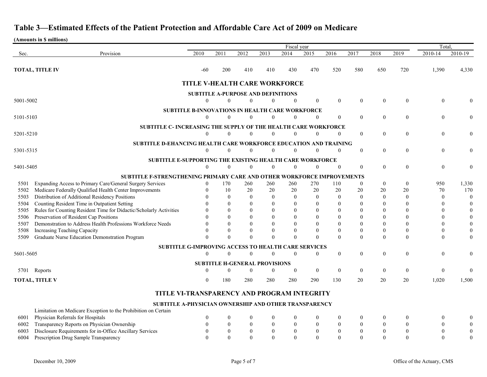|           |                                                                         |                                                       |                  |                                      |                  | Fiscal year      |                  |                  |                  |                  |                  | Total            |                  |
|-----------|-------------------------------------------------------------------------|-------------------------------------------------------|------------------|--------------------------------------|------------------|------------------|------------------|------------------|------------------|------------------|------------------|------------------|------------------|
| Sec.      | Provision                                                               | 2010                                                  | 2011             | 2012                                 | 2013             | 2014             | 2015             | 2016             | 2017             | 2018             | 2019             | 2010-14          | 2010-19          |
|           |                                                                         |                                                       |                  |                                      |                  |                  |                  |                  |                  |                  |                  |                  |                  |
|           | <b>TOTAL, TITLE IV</b>                                                  | $-60$                                                 | 200              | 410                                  | 410              | 430              | 470              | 520              | 580              | 650              | 720              | 1,390            | 4,330            |
|           |                                                                         | TITLE V-HEALTH CARE WORKFORCE                         |                  |                                      |                  |                  |                  |                  |                  |                  |                  |                  |                  |
|           |                                                                         |                                                       |                  |                                      |                  |                  |                  |                  |                  |                  |                  |                  |                  |
|           |                                                                         | <b>SUBTITLE A-PURPOSE AND DEFINITIONS</b>             |                  |                                      |                  |                  |                  |                  |                  |                  |                  |                  |                  |
| 5001-5002 |                                                                         | $\theta$                                              | $\Omega$         | $\theta$                             | $\mathbf{0}$     | $\mathbf{0}$     | $\overline{0}$   | $\theta$         | $\boldsymbol{0}$ | $\boldsymbol{0}$ | $\mathbf{0}$     | $\mathbf{0}$     |                  |
|           |                                                                         | SUBTITLE B-INNOVATIONS IN HEALTH CARE WORKFORCE       |                  |                                      |                  |                  |                  |                  |                  |                  |                  |                  |                  |
| 5101-5103 |                                                                         | $\theta$                                              | $\Omega$         | $\mathbf{0}$                         | $\boldsymbol{0}$ | $\theta$         | $\theta$         | $\theta$         | $\boldsymbol{0}$ | $\boldsymbol{0}$ | $\boldsymbol{0}$ | $\boldsymbol{0}$ | 0                |
|           | <b>SUBTITLE C- INCREASING THE SUPPLY OF THE HEALTH CARE WORKFORCE</b>   |                                                       |                  |                                      |                  |                  |                  |                  |                  |                  |                  |                  |                  |
| 5201-5210 |                                                                         | $\theta$                                              | 0                | $\theta$                             | $\boldsymbol{0}$ | $\mathbf{0}$     | $\mathbf{0}$     | $\Omega$         | $\bf{0}$         | $\mathbf{0}$     | $\overline{0}$   | $\boldsymbol{0}$ |                  |
|           | <b>SUBTITLE D-EHANCING HEALTH CARE WORKFORCE EDUCATION AND TRAINING</b> |                                                       |                  |                                      |                  |                  |                  |                  |                  |                  |                  |                  |                  |
| 5301-5315 |                                                                         | $\mathbf{0}$                                          | $\Omega$         | $\theta$                             | $\boldsymbol{0}$ | $\boldsymbol{0}$ | $\mathbf{0}$     | $\Omega$         | $\overline{0}$   | $\boldsymbol{0}$ | $\overline{0}$   | $\mathbf{0}$     | $\theta$         |
|           | <b>SUBTITLE E-SUPPORTING THE EXISTING HEALTH CARE WORKFORCE</b>         |                                                       |                  |                                      |                  |                  |                  |                  |                  |                  |                  |                  |                  |
| 5401-5405 |                                                                         | $\boldsymbol{0}$                                      | 0                | $\mathbf{0}$                         | $\boldsymbol{0}$ | $\mathbf{0}$     | $\mathbf{0}$     |                  | $\overline{0}$   | $\mathbf{0}$     | $\theta$         | $\mathbf{0}$     | 0                |
|           | SUBTITLE F-STRENGTHENING PRIMARY CARE AND OTHER WORKFORCE IMPROVEMENTS  |                                                       |                  |                                      |                  |                  |                  |                  |                  |                  |                  |                  |                  |
| 5501      | Expanding Access to Primary Care/General Surgery Services               | $\boldsymbol{0}$                                      | 170              | 260                                  | 260              | 260              | 270              | 110              | $\bf{0}$         | $\boldsymbol{0}$ | $\overline{0}$   | 950              | 1,330            |
| 5502      | Medicare Federally Qualified Health Center Improvements                 |                                                       | 10               | 20                                   | 20               | 20               | 20               | 20               | 20               | 20               | 20               | 70               | 170              |
| 5503      | Distribution of Additional Residency Positions                          |                                                       | $\theta$         | $\mathbf{0}$                         | $\theta$         | $\mathbf{0}$     | $\theta$         | $\overline{0}$   | $\overline{0}$   | $\mathbf{0}$     | $\theta$         | $\theta$         | $\boldsymbol{0}$ |
| 5504      | Counting Resident Time in Outpatient Setting                            |                                                       | 0                | $\theta$                             | $\Omega$         | $\Omega$         | $\Omega$         | $\theta$         | $\Omega$         | $\theta$         |                  |                  | $\boldsymbol{0}$ |
| 5505      | Rules for Counting Resident Time for Didactic/Scholarly Activities      |                                                       | 0                | $\Omega$                             |                  |                  |                  |                  |                  | $\Omega$         |                  |                  | $\theta$         |
| 5506      | Preservation of Resident Cap Positions                                  |                                                       |                  | $\Omega$                             |                  |                  |                  |                  |                  | $\theta$         |                  |                  |                  |
| 5507      | Demonstration to Address Health Professions Workforce Needs             |                                                       | 0                | $\theta$                             |                  | $\theta$         |                  |                  |                  | $\theta$         |                  |                  |                  |
| 5508      | Increasing Teaching Capacity                                            |                                                       |                  | $\mathbf{0}$                         |                  | $\theta$         |                  |                  | $\theta$         | $\boldsymbol{0}$ |                  | $\theta$         | $\boldsymbol{0}$ |
| 5509      | Graduate Nurse Education Demonstration Program                          |                                                       |                  | $\theta$                             |                  | $\Omega$         | $\Omega$         |                  | $\boldsymbol{0}$ | $\theta$         | $\theta$         | $\theta$         | $\theta$         |
|           |                                                                         | SUBTITLE G-IMPROVING ACCESS TO HEALTH CARE SERVICES   |                  |                                      |                  |                  |                  |                  |                  |                  |                  |                  |                  |
| 5601-5605 |                                                                         | $\theta$                                              | $\Omega$         | $\theta$                             | $\theta$         | $\Omega$         | $\theta$         | $\theta$         | $\boldsymbol{0}$ | $\boldsymbol{0}$ | $\boldsymbol{0}$ | $\boldsymbol{0}$ | $\theta$         |
|           |                                                                         |                                                       |                  | <b>SUBTITLE H-GENERAL PROVISIONS</b> |                  |                  |                  |                  |                  |                  |                  |                  |                  |
|           | 5701 Reports                                                            | $\theta$                                              |                  | $\overline{0}$                       | $\boldsymbol{0}$ | $\Omega$         | $\theta$         | $\theta$         | $\overline{0}$   | $\boldsymbol{0}$ | $\overline{0}$   | $\theta$         | $\left($         |
|           | <b>TOTAL, TITLE V</b>                                                   | $\theta$                                              | 180              | 280                                  | 280              | 280              | 290              | 130              | 20               | 20               | 20               | 1,020            | 1,500            |
|           |                                                                         | TITLE VI-TRANSPARENCY AND PROGRAM INTEGRITY           |                  |                                      |                  |                  |                  |                  |                  |                  |                  |                  |                  |
|           |                                                                         | SUBTITLE A-PHYSICIAN OWNERSHIP AND OTHER TRANSPARENCY |                  |                                      |                  |                  |                  |                  |                  |                  |                  |                  |                  |
|           | Limitation on Medicare Exception to the Prohibition on Certain          |                                                       |                  |                                      |                  |                  |                  |                  |                  |                  |                  |                  |                  |
| 6001      | Physician Referrals for Hospitals                                       |                                                       | $\bf{0}$         | $\boldsymbol{0}$                     |                  |                  |                  |                  | $\boldsymbol{0}$ | $\theta$         |                  | $\boldsymbol{0}$ | $\theta$         |
| 6002      | Transparency Reports on Physician Ownership                             | $\mathbf{0}$                                          | $\boldsymbol{0}$ | $\boldsymbol{0}$                     | $\boldsymbol{0}$ | $\boldsymbol{0}$ | $\boldsymbol{0}$ | $\boldsymbol{0}$ | $\boldsymbol{0}$ | $\boldsymbol{0}$ | $\boldsymbol{0}$ | $\boldsymbol{0}$ | $\boldsymbol{0}$ |
| 6003      | Disclosure Requirements for in-Office Ancillary Services                | $\boldsymbol{0}$                                      | $\mathbf{0}$     | $\boldsymbol{0}$                     | $\boldsymbol{0}$ | $\boldsymbol{0}$ | $\boldsymbol{0}$ | $\bf{0}$         | $\boldsymbol{0}$ | $\boldsymbol{0}$ | $\boldsymbol{0}$ | $\boldsymbol{0}$ | $\mathbf{0}$     |
| 6004      | Prescription Drug Sample Transparency                                   | $\theta$                                              | $\overline{0}$   | $\mathbf{0}$                         | $\boldsymbol{0}$ | $\mathbf{0}$     | $\overline{0}$   | $\mathbf{0}$     | $\boldsymbol{0}$ | $\boldsymbol{0}$ | $\mathbf{0}$     | $\boldsymbol{0}$ | $\boldsymbol{0}$ |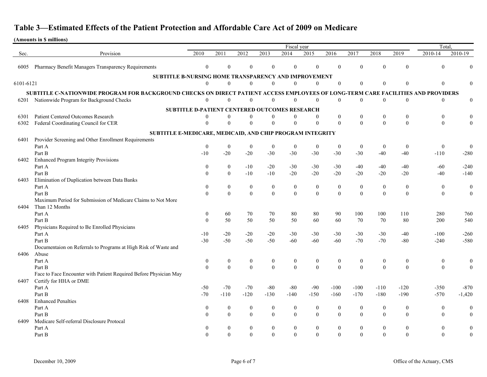|           | Fiscal year                                                                                                                       |                                               |                  |                  |                  |                  |                  |                  |                  |                  | Total,           |                  |                  |
|-----------|-----------------------------------------------------------------------------------------------------------------------------------|-----------------------------------------------|------------------|------------------|------------------|------------------|------------------|------------------|------------------|------------------|------------------|------------------|------------------|
| Sec.      | Provision                                                                                                                         | 2010                                          | 2011             | 2012             | 2013             | 2014             | 2015             | 2016             | 2017             | 2018             | 2019             | 2010-14          | 2010-19          |
|           |                                                                                                                                   |                                               |                  |                  |                  |                  |                  |                  |                  |                  |                  |                  |                  |
| 6005      | Pharmacy Benefit Managers Transparency Requirements                                                                               | $\mathbf{0}$                                  | $\Omega$         | $\theta$         | $\theta$         | $\theta$         | $\mathbf{0}$     | $\mathbf{0}$     | $\mathbf{0}$     | $\mathbf{0}$     | $\overline{0}$   | $\overline{0}$   |                  |
|           | <b>SUBTITLE B-NURSING HOME TRANSPARENCY AND IMPROVEMENT</b>                                                                       |                                               |                  |                  |                  |                  |                  |                  |                  |                  |                  |                  |                  |
| 6101-6121 |                                                                                                                                   | $\mathbf{0}$                                  | $\theta$         | $\theta$         | $\theta$         | $\Omega$         | 0                | $\Omega$         | $\theta$         | $\theta$         |                  | $\Omega$         |                  |
|           | SUBTITLE C-NATIONWIDE PROGRAM FOR BACKGROUND CHECKS ON DIRECT PATIENT ACCESS EMPLOYEES OF LONG-TERM CARE FACILITIES AND PROVIDERS |                                               |                  |                  |                  |                  |                  |                  |                  |                  |                  |                  |                  |
| 6201      | Nationwide Program for Background Checks                                                                                          | $\theta$                                      | 0                |                  | $\theta$         | $\theta$         | 0                | $\Omega$         | $\theta$         | $\mathbf{0}$     | $\boldsymbol{0}$ | $\overline{0}$   | $\mathbf{0}$     |
|           |                                                                                                                                   |                                               |                  |                  |                  |                  |                  |                  |                  |                  |                  |                  |                  |
|           |                                                                                                                                   | SUBTITLE D-PATIENT CENTERED OUTCOMES RESEARCH |                  |                  |                  |                  |                  |                  |                  |                  |                  |                  |                  |
| 6301      | <b>Patient Centered Outcomes Research</b>                                                                                         | $\theta$                                      | $\boldsymbol{0}$ | $\boldsymbol{0}$ | $\boldsymbol{0}$ | $\boldsymbol{0}$ | $\theta$         | $\boldsymbol{0}$ | $\boldsymbol{0}$ | $\boldsymbol{0}$ | $\boldsymbol{0}$ | $\boldsymbol{0}$ |                  |
| 6302      | Federal Coordinating Council for CER                                                                                              | $\theta$                                      | $\boldsymbol{0}$ | $\Omega$         | $\boldsymbol{0}$ | $\boldsymbol{0}$ | $\boldsymbol{0}$ | $\overline{0}$   | $\boldsymbol{0}$ | $\mathbf{0}$     | $\boldsymbol{0}$ | $\mathbf{0}$     | $\overline{0}$   |
|           | SUBTITLE E-MEDICARE, MEDICAID, AND CHIP PROGRAM INTEGRITY                                                                         |                                               |                  |                  |                  |                  |                  |                  |                  |                  |                  |                  |                  |
| 6401      | Provider Screening and Other Enrollment Requirements                                                                              |                                               |                  |                  |                  |                  |                  |                  |                  |                  |                  |                  |                  |
|           | Part A                                                                                                                            | $\boldsymbol{0}$                              | $\boldsymbol{0}$ | $\boldsymbol{0}$ | $\boldsymbol{0}$ | $\boldsymbol{0}$ | $\boldsymbol{0}$ | $\bf{0}$         | $\boldsymbol{0}$ | $\boldsymbol{0}$ | $\bf{0}$         | $\bf{0}$         | $\mathbf{0}$     |
|           | Part B                                                                                                                            | $-10$                                         | $-20$            | $-20$            | $-30$            | $-30$            | $-30$            | $-30$            | $-30$            | $-40$            | $-40$            | $-110$           | $-280$           |
| 6402      | <b>Enhanced Program Integrity Provisions</b>                                                                                      |                                               |                  |                  |                  |                  |                  |                  |                  |                  |                  |                  |                  |
|           | Part A                                                                                                                            | $\boldsymbol{0}$                              | $\boldsymbol{0}$ | $-10$            | $-20$            | $-30$            | $-30$            | $-30$            | $-40$            | $-40$            | $-40$            | $-60$            | $-240$           |
|           | Part B                                                                                                                            | $\boldsymbol{0}$                              | $\boldsymbol{0}$ | $-10$            | $-10$            | $-20$            | $-20$            | $-20$            | $-20$            | $-20$            | $-20$            | $-40$            | $-140$           |
| 6403      | Elimination of Duplication between Data Banks                                                                                     |                                               |                  |                  |                  |                  |                  |                  |                  |                  |                  |                  |                  |
|           | Part A                                                                                                                            | $\boldsymbol{0}$                              | $\boldsymbol{0}$ | $\boldsymbol{0}$ | $\boldsymbol{0}$ | $\boldsymbol{0}$ | $\boldsymbol{0}$ | $\boldsymbol{0}$ | $\boldsymbol{0}$ | $\boldsymbol{0}$ | $\boldsymbol{0}$ | $\boldsymbol{0}$ | $\theta$         |
|           | Part B                                                                                                                            | $\boldsymbol{0}$                              | $\boldsymbol{0}$ | $\mathbf{0}$     | $\boldsymbol{0}$ | $\boldsymbol{0}$ | $\mathbf{0}$     | $\boldsymbol{0}$ | $\boldsymbol{0}$ | $\mathbf{0}$     | $\mathbf{0}$     | $\overline{0}$   | $\boldsymbol{0}$ |
|           | Maximum Period for Submission of Medicare Claims to Not More                                                                      |                                               |                  |                  |                  |                  |                  |                  |                  |                  |                  |                  |                  |
| 6404      | Than 12 Months                                                                                                                    |                                               |                  |                  |                  |                  |                  |                  |                  |                  |                  |                  |                  |
|           | Part A                                                                                                                            | $\boldsymbol{0}$                              | 60               | 70               | 70               | 80               | 80               | 90               | 100              | 100              | 110              | 280              | 760              |
|           | Part B                                                                                                                            | $\theta$                                      | 50               | 50               | 50               | 50               | 60               | 60               | 70               | 70               | 80               | 200              | 540              |
| 6405      | Physicians Required to Be Enrolled Physicians                                                                                     |                                               |                  |                  |                  |                  |                  |                  |                  |                  |                  |                  |                  |
|           | Part A                                                                                                                            | $-10$                                         | $-20$            | $-20$            | $-20$            | $-30$            | $-30$            | $-30$            | $-30$            | $-30$            | $-40$            | $-100$           | $-260$           |
|           | Part B                                                                                                                            | $-30$                                         | $-50$            | $-50$            | $-50$            | $-60$            | $-60$            | $-60$            | $-70$            | $-70$            | $-80$            | $-240$           | $-580$           |
| 6406      | Documentaion on Referrals to Programs at High Risk of Waste and<br>Abuse                                                          |                                               |                  |                  |                  |                  |                  |                  |                  |                  |                  |                  |                  |
|           | Part A                                                                                                                            | $\boldsymbol{0}$                              | $\boldsymbol{0}$ | $\boldsymbol{0}$ | $\boldsymbol{0}$ | $\boldsymbol{0}$ | $\boldsymbol{0}$ | $\boldsymbol{0}$ | $\boldsymbol{0}$ | $\boldsymbol{0}$ | $\boldsymbol{0}$ | $\boldsymbol{0}$ |                  |
|           | Part B                                                                                                                            | $\boldsymbol{0}$                              | $\boldsymbol{0}$ | $\boldsymbol{0}$ | $\mathbf{0}$     | $\boldsymbol{0}$ | $\mathbf{0}$     | $\overline{0}$   | $\boldsymbol{0}$ | $\mathbf{0}$     | $\boldsymbol{0}$ | $\boldsymbol{0}$ |                  |
|           | Face to Face Encounter with Patient Required Before Physician May                                                                 |                                               |                  |                  |                  |                  |                  |                  |                  |                  |                  |                  |                  |
| 6407      | Certify for HHA or DME                                                                                                            |                                               |                  |                  |                  |                  |                  |                  |                  |                  |                  |                  |                  |
|           | Part A                                                                                                                            | $-50$                                         | $-70$            | $-70$            | $-80$            | $-80$            | $-90$            | $-100$           | $-100$           | $-110$           | $-120$           | $-350$           | $-870$           |
|           | Part B                                                                                                                            | $-70$                                         | $-110$           | $-120$           | $-130$           | $-140$           | $-150$           | $-160$           | $-170$           | $-180$           | $-190$           | $-570$           | $-1,420$         |
| 6408      | <b>Enhanced Penalties</b>                                                                                                         |                                               |                  |                  |                  |                  |                  |                  |                  |                  |                  |                  |                  |
|           | Part A                                                                                                                            | $\boldsymbol{0}$                              | $\boldsymbol{0}$ | $\boldsymbol{0}$ | $\boldsymbol{0}$ | $\boldsymbol{0}$ | $\mathbf{0}$     | $\boldsymbol{0}$ | $\boldsymbol{0}$ | $\boldsymbol{0}$ | $\theta$         | $\boldsymbol{0}$ | $\theta$         |
|           | Part B                                                                                                                            | $\mathbf{0}$                                  | $\mathbf{0}$     | $\overline{0}$   | $\mathbf{0}$     | $\boldsymbol{0}$ | $\mathbf{0}$     | $\theta$         | $\boldsymbol{0}$ | $\mathbf{0}$     | $\overline{0}$   | $\overline{0}$   | $\mathbf{0}$     |
| 6409      | Medicare Self-referral Disclosure Protocal                                                                                        |                                               |                  |                  |                  |                  |                  |                  |                  |                  |                  |                  |                  |
|           | Part A                                                                                                                            | $\mathbf{0}$                                  | $\mathbf{0}$     | $\overline{0}$   | $\boldsymbol{0}$ | $\mathbf{0}$     | $\mathbf{0}$     | $\theta$         | $\boldsymbol{0}$ | $\boldsymbol{0}$ | $\boldsymbol{0}$ | $\overline{0}$   | $\overline{0}$   |
|           | Part B                                                                                                                            | $\Omega$                                      | $\theta$         | $\mathbf{0}$     | $\mathbf{0}$     | $\mathbf{0}$     | $\theta$         | $\theta$         | $\boldsymbol{0}$ | $\mathbf{0}$     | $\mathbf{0}$     | $\overline{0}$   | $\overline{0}$   |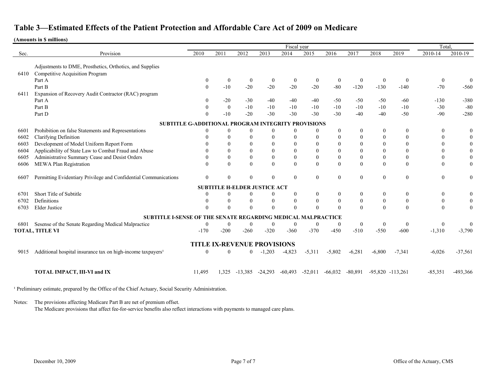#### **(Amounts in \$ millions)**

|      |                                                                         | Fiscal year  |                                     |                  |                  |                  |                    |                  |                  |                  |                      | Total.           |                  |
|------|-------------------------------------------------------------------------|--------------|-------------------------------------|------------------|------------------|------------------|--------------------|------------------|------------------|------------------|----------------------|------------------|------------------|
| Sec. | Provision                                                               | 2010         | 2011                                | 2012             | 2013             | 2014             | 2015               | 2016             | 2017             | 2018             | 2019                 | 2010-14          | 2010-19          |
|      |                                                                         |              |                                     |                  |                  |                  |                    |                  |                  |                  |                      |                  |                  |
|      | Adjustments to DME, Prosthetics, Orthotics, and Supplies                |              |                                     |                  |                  |                  |                    |                  |                  |                  |                      |                  |                  |
| 6410 | <b>Competitive Acquisition Program</b>                                  |              |                                     |                  |                  |                  |                    |                  |                  |                  |                      |                  |                  |
|      | Part A                                                                  | $\mathbf{0}$ | $\bf{0}$                            | $\boldsymbol{0}$ | $\boldsymbol{0}$ | $\mathbf{0}$     | $\mathbf{0}$       | $\boldsymbol{0}$ | $\boldsymbol{0}$ | $\theta$         | $\Omega$             | $\theta$         | $\theta$         |
|      | Part B                                                                  | $\mathbf{0}$ | $-10$                               | $-20$            | $-20$            | $-20$            | $-20$              | $-80$            | $-120$           | $-130$           | $-140$               | $-70$            | $-560$           |
| 6411 | Expansion of Recovery Audit Contractor (RAC) program                    |              |                                     |                  |                  |                  |                    |                  |                  |                  |                      |                  |                  |
|      | Part A                                                                  |              | $-20$                               | $-30$            | $-40$            | $-40$            | $-40$              | $-50$            | $-50$            | $-50$            | $-60$                | $-130$           | $-380$           |
|      | Part B                                                                  |              | $\mathbf{0}$                        | $-10$            | $-10$            | $-10$            | $-10$              | $-10$            | $-10$            | $-10$            | $-10$                | $-30$            | $-80$            |
|      | Part D                                                                  |              | $-10$                               | $-20$            | $-30$            | $-30$            | $-30$              | $-30$            | $-40$            | $-40$            | $-50$                | $-90$            | $-280$           |
|      | SUBTITLE G-ADDITIONAL PROGRAM INTEGRITY PROVISIONS                      |              |                                     |                  |                  |                  |                    |                  |                  |                  |                      |                  |                  |
| 6601 | Prohibition on false Statements and Representations                     | $\Omega$     | $\mathbf{0}$                        | $\boldsymbol{0}$ | $\boldsymbol{0}$ | $\overline{0}$   | $\theta$           | $\theta$         | $\boldsymbol{0}$ | $\theta$         | $\theta$             | $\bf{0}$         | $\boldsymbol{0}$ |
| 6602 | <b>Clarifying Definition</b>                                            |              | $\theta$                            | $\overline{0}$   | $\theta$         | $\Omega$         | 0                  | $\theta$         | $\mathbf{0}$     | $\theta$         | $\theta$             | $\Omega$         | $\overline{0}$   |
| 6603 | Development of Model Uniform Report Form                                |              | $\theta$                            | $\mathbf{0}$     | $\theta$         | $\Omega$         | $\Omega$           | $\theta$         | $\theta$         | $\overline{0}$   | $\theta$             | $\Omega$         | $\mathbf{0}$     |
| 6604 | Applicability of State Law to Combat Fraud and Abuse                    |              | $\Omega$                            | $\mathbf{0}$     | $\theta$         | $\Omega$         | $\Omega$           | $\theta$         | $\Omega$         | $\theta$         | $\Omega$             | $\Omega$         | $\theta$         |
| 6605 | Administrative Summary Cease and Desist Orders                          |              | $\theta$                            | $\boldsymbol{0}$ | $\boldsymbol{0}$ | $\boldsymbol{0}$ | $\boldsymbol{0}$   | $\theta$         | $\boldsymbol{0}$ | $\boldsymbol{0}$ | $\theta$             | $\theta$         | $\mathbf{0}$     |
| 6606 | MEWA Plan Registration                                                  |              | $\Omega$                            | $\boldsymbol{0}$ | $\mathbf{0}$     | $\overline{0}$   | $\theta$           | $\Omega$         | $\boldsymbol{0}$ | $\Omega$         | $\theta$             | $\theta$         | $\mathbf{0}$     |
|      |                                                                         |              |                                     |                  |                  |                  |                    |                  |                  |                  |                      |                  |                  |
| 6607 | Permitting Evidentiary Privilege and Confidential Communications        | $\Omega$     | $\theta$                            | $\boldsymbol{0}$ | $\theta$         | $\theta$         | $\theta$           | $\Omega$         | $\boldsymbol{0}$ | $\boldsymbol{0}$ | $\boldsymbol{0}$     | $\boldsymbol{0}$ | $\theta$         |
|      |                                                                         |              | <b>SUBTITLE H-ELDER JUSTICE ACT</b> |                  |                  |                  |                    |                  |                  |                  |                      |                  |                  |
| 6701 | Short Title of Subtitle                                                 |              | $\bf{0}$                            | $\boldsymbol{0}$ | $\boldsymbol{0}$ | $\boldsymbol{0}$ | $\overline{0}$     | $\boldsymbol{0}$ | $\boldsymbol{0}$ | $\boldsymbol{0}$ | $\boldsymbol{0}$     | $\boldsymbol{0}$ | $\overline{0}$   |
| 6702 | Definitions                                                             |              | $\boldsymbol{0}$                    | $\boldsymbol{0}$ | $\boldsymbol{0}$ | $\theta$         | $\theta$           | $\boldsymbol{0}$ | $\boldsymbol{0}$ | $\boldsymbol{0}$ | $\boldsymbol{0}$     | $\boldsymbol{0}$ | $\overline{0}$   |
| 6703 | <b>Elder Justice</b>                                                    |              | $\Omega$                            | $\overline{0}$   | $\theta$         | $\Omega$         | $\Omega$           | $\Omega$         | $\theta$         | $\Omega$         | $\Omega$             | $\theta$         | $\overline{0}$   |
|      | SUBTITLE I-SENSE OF THE SENATE REGARDING MEDICAL                        |              |                                     |                  |                  |                  | <b>MALPRACTICE</b> |                  |                  |                  |                      |                  |                  |
| 6801 | Sesense of the Senate Regarding Medical Malpractice                     | $\Omega$     | $\mathbf{0}$                        | $\bf{0}$         | $\boldsymbol{0}$ | $\overline{0}$   | $\boldsymbol{0}$   | $\mathbf{0}$     | $\boldsymbol{0}$ | $\boldsymbol{0}$ | $\mathbf{0}$         | $\mathbf{0}$     | $\theta$         |
|      | <b>TOTAL, TITLE VI</b>                                                  | $-170$       | $-200$                              | $-260$           | $-320$           | $-360$           | $-370$             | $-450$           | $-510$           | $-550$           | $-600$               | $-1,310$         | $-3,790$         |
|      |                                                                         |              |                                     |                  |                  |                  |                    |                  |                  |                  |                      |                  |                  |
|      |                                                                         |              | <b>TITLE IX-REVENUE PROVISIONS</b>  |                  |                  |                  |                    |                  |                  |                  |                      |                  |                  |
| 9015 | Additional hospital insurance tax on high-income taxpayers <sup>1</sup> | $\Omega$     | $\theta$                            | 0                | $-1,203$         | $-4,823$         | $-5,311$           | $-5,802$         | $-6,281$         | $-6,800$         | $-7,341$             | $-6,026$         | $-37,561$        |
|      |                                                                         |              |                                     |                  |                  |                  |                    |                  |                  |                  |                      |                  |                  |
|      |                                                                         |              |                                     |                  |                  |                  |                    |                  |                  |                  |                      |                  |                  |
|      | TOTAL IMPACT, III-VI and IX                                             | 11,495       | 1,325                               | $-13.385$        | $-24,293$        | $-60,493$        | $-52,011$          | $-66,032$        | $-80,891$        |                  | $-95,820$ $-113,261$ | $-85,351$        | -493,366         |
|      |                                                                         |              |                                     |                  |                  |                  |                    |                  |                  |                  |                      |                  |                  |

<sup>1</sup> Preliminary estimate, prepared by the Office of the Chief Actuary, Social Security Administration.

Notes: The provisions affecting Medicare Part B are net of premium offset.

The Medicare provisions that affect fee-for-service benefits also reflect interactions with payments to managed care plans.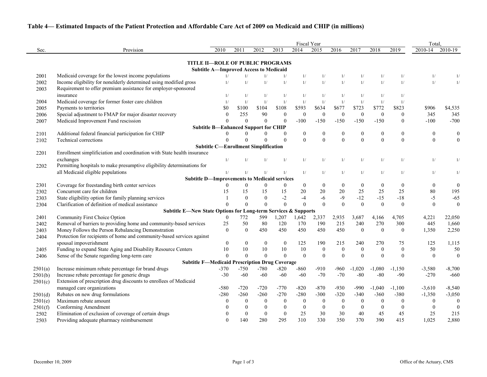|         |                                                                         |                                               |                  |                  |                  |                  | Fiscal Year      |                  |                  |                  |                  | Total,           |                  |
|---------|-------------------------------------------------------------------------|-----------------------------------------------|------------------|------------------|------------------|------------------|------------------|------------------|------------------|------------------|------------------|------------------|------------------|
| Sec.    | Provision                                                               | 2010                                          | 2011             | 2012             | 2013             | 2014             | 2015             | 2016             | 2017             | 2018             | 2019             | 2010-14          | 2010-19          |
|         | <b>TITLE II-ROLE OF PUBLIC PROGRAMS</b>                                 |                                               |                  |                  |                  |                  |                  |                  |                  |                  |                  |                  |                  |
|         |                                                                         | <b>Subtitle A-Improved Access to Medicaid</b> |                  |                  |                  |                  |                  |                  |                  |                  |                  |                  |                  |
| 2001    | Medicaid coverage for the lowest income populations                     | 1/                                            | 1/               |                  | 1/               | 1/               | 1/               | 1/               | 1/               | 1/               | 1/               | 1/               |                  |
| 2002    | Income eligibility for nonelderly determined using modified gross       | 1/                                            | 1/               | 1/               | 1/               | 1/               | 1/               | 1/               | 1/               | 1/               | 1/               | 1/               |                  |
| 2003    | Requirement to offer premium assistance for employer-sponsored          |                                               |                  |                  |                  |                  |                  |                  |                  |                  |                  |                  |                  |
|         | insurance                                                               | 1/                                            | 1/               | 1/               | 1/               | 1/               | 1/               | 1/               | 1/               | 1/               | 1/               |                  |                  |
| 2004    | Medicaid coverage for former foster care children                       | 1/                                            | 1/               | 1/               | 1/               | 1/               | 1/               | 1/               | 1/               | 1/               | 1/               |                  |                  |
| 2005    | Payments to territories                                                 | \$0                                           | \$100            | \$104            | \$108            | \$593            | \$634            | \$677            | \$723            | \$772            | \$823            | \$906            | \$4,535          |
| 2006    | Special adjustment to FMAP for major disaster recovery                  | $\theta$                                      | 255              | 90               | $\boldsymbol{0}$ | $\boldsymbol{0}$ | $\boldsymbol{0}$ | $\boldsymbol{0}$ | $\mathbf{0}$     | $\overline{0}$   | $\mathbf{0}$     | 345              | 345              |
| 2007    | Medicaid Improvement Fund rescission                                    | $\Omega$                                      | $\Omega$         | $\mathbf{0}$     | $\theta$         | $-100$           | $-150$           | $-150$           | $-150$           | $-150$           | $\theta$         | $-100$           | $-700$           |
|         |                                                                         | <b>Subtitle B-Enhanced Support for CHIP</b>   |                  |                  |                  |                  |                  |                  |                  |                  |                  |                  |                  |
| 2101    | Additional federal financial participation for CHIP                     | $\Omega$                                      | 0                |                  | $\bf{0}$         | $\bf{0}$         | $\boldsymbol{0}$ | $\boldsymbol{0}$ | $\boldsymbol{0}$ | $\boldsymbol{0}$ | $\boldsymbol{0}$ | $\boldsymbol{0}$ | $\boldsymbol{0}$ |
| 2102    | Technical corrections                                                   | $\Omega$                                      | $\Omega$         | $\theta$         | $\mathbf{0}$     | $\Omega$         | $\Omega$         | $\overline{0}$   | $\theta$         | $\Omega$         | $\Omega$         | $\boldsymbol{0}$ | $\mathbf{0}$     |
|         |                                                                         | <b>Subtitle C-Enrollment Simplification</b>   |                  |                  |                  |                  |                  |                  |                  |                  |                  |                  |                  |
| 2201    | Enrollment simplificiation and coordination with State health insurance |                                               |                  |                  |                  |                  |                  |                  |                  |                  |                  |                  |                  |
|         | exchanges                                                               | 1/                                            |                  |                  | 1/               | 1/               | 1/               | 1/               | 1/               | 1/               | 1/               | 1/               | 1/               |
| 2202    | Permitting hospitals to make presumptive eligibility determinations for |                                               |                  |                  |                  |                  |                  |                  |                  |                  |                  |                  |                  |
|         | all Medicaid eligible populations                                       | 1/                                            | 1/               | 1/               | 1/               | 1/               | 1/               | 1/               | 1/               | 1/               | 1/               | 1/               | 1/               |
|         | <b>Subtitle D-Improvements to Medicaid services</b>                     |                                               |                  |                  |                  |                  |                  |                  |                  |                  |                  |                  |                  |
| 2301    | Coverage for freestanding birth center services                         | $\theta$                                      | $\overline{0}$   | $\mathbf{0}$     | $\boldsymbol{0}$ | $\overline{0}$   | $\overline{0}$   | $\boldsymbol{0}$ | $\boldsymbol{0}$ | $\boldsymbol{0}$ | $\boldsymbol{0}$ | $\boldsymbol{0}$ | $\boldsymbol{0}$ |
| 2302    | Concurrent care for children                                            | 15                                            | 15               | 15               | 15               | 20               | 20               | 20               | 25               | 25               | 25               | 80               | 195              |
| 2303    | State eligibility option for family planning services                   |                                               | $\theta$         | $\theta$         | $-2$             | $-4$             | -6               | $-9$             | $-12$            | $-15$            | $-18$            | $-5$             | $-65$            |
| 2304    | Clarification of definition of medical assistance                       | $\Omega$                                      | $\theta$         | $\Omega$         | $\Omega$         | $\Omega$         | $\Omega$         | $\overline{0}$   | $\mathbf{0}$     | $\Omega$         | $\Omega$         | $\boldsymbol{0}$ | $\mathbf{0}$     |
|         | Subtitle E-New State Options for Long-term Services & Supports          |                                               |                  |                  |                  |                  |                  |                  |                  |                  |                  |                  |                  |
| 2401    | Community First Choice Option                                           | $\theta$                                      | 772              | 599              | 1,207            | 1,642            | 2,337            | 2,935            | 3,687            | 4,166            | 4,705            | 4,221            | 22,050           |
| 2402    | Removal of barriers to providing home and community-based services      | 25                                            | 50               | 80               | 120              | 170              | 190              | 215              | 240              | 270              | 300              | 445              | 1,660            |
| 2403    | Money Follows the Person Rebalancing Demonstration                      | $\mathbf{0}$                                  | $\boldsymbol{0}$ | 450              | 450              | 450              | 450              | 450              | $\boldsymbol{0}$ | $\overline{0}$   | $\mathbf{0}$     | 1,350            | 2,250            |
| 2404    | Protection for recipients of home and community-based services against  |                                               |                  |                  |                  |                  |                  |                  |                  |                  |                  |                  |                  |
|         | spousal impoverishment                                                  | $\mathbf{0}$                                  | $\overline{0}$   | $\mathbf{0}$     | $\boldsymbol{0}$ | 125              | 190              | 215              | 240              | 270              | 75               | 125              | 1,115            |
| 2405    | Funding to expand State Aging and Disability Resource Centers           | 10                                            | 10               | 10               | 10               | 10               | $\boldsymbol{0}$ | $\boldsymbol{0}$ | $\boldsymbol{0}$ | $\boldsymbol{0}$ | $\boldsymbol{0}$ | 50               | 50               |
| 2406    | Sense of the Senate regarding long-term care                            | $\Omega$                                      | $\Omega$         | $\Omega$         | $\overline{0}$   | $\boldsymbol{0}$ | $\theta$         | $\boldsymbol{0}$ | $\theta$         | $\Omega$         | $\Omega$         | $\boldsymbol{0}$ | $\boldsymbol{0}$ |
|         | <b>Subtitle F-Medicaid Prescription Drug Coverage</b>                   |                                               |                  |                  |                  |                  |                  |                  |                  |                  |                  |                  |                  |
| 2501(a) | Increase minimum rebate percentage for brand drugs                      | $-370$                                        | $-750$           | $-780$           | $-820$           | $-860$           | $-910$           | -960             | $-1,020$         | $-1,080$         | $-1,150$         | $-3,580$         | $-8,700$         |
| 2501(b) | Increase rebate percentage for generic drugs                            | $-30$                                         | $-60$            | $-60$            | $-60$            | $-60$            | $-70$            | $-70$            | $-80$            | $-80$            | $-90$            | $-270$           | $-660$           |
| 2501(c) | Extension of prescription drug discounts to enrollees of Medicaid       |                                               |                  |                  |                  |                  |                  |                  |                  |                  |                  |                  |                  |
|         | managed care organizations                                              | $-580$                                        | $-720$           | $-720$           | $-770$           | $-820$           | $-870$           | $-930$           | $-990$           | $-1,040$         | $-1,100$         | $-3,610$         | $-8,540$         |
| 2501(d) | Rebates on new drug formulations                                        | $-280$                                        | $-260$           | $-260$           | $-270$           | $-280$           | $-300$           | $-320$           | $-340$           | $-360$           | $-380$           | $-1,350$         | $-3,050$         |
| 2501(e) | Maximum rebate amount                                                   | $\boldsymbol{0}$                              | $\boldsymbol{0}$ | $\bf{0}$         | $\boldsymbol{0}$ | $\boldsymbol{0}$ | $\mathbf{0}$     | $\boldsymbol{0}$ | $\boldsymbol{0}$ | $\boldsymbol{0}$ | $\boldsymbol{0}$ | $\boldsymbol{0}$ | $\mathbf{0}$     |
| 2501(f) | Conforming Amendment                                                    | $\theta$                                      | $\boldsymbol{0}$ |                  | $\boldsymbol{0}$ | $\boldsymbol{0}$ | $\boldsymbol{0}$ | $\boldsymbol{0}$ | $\boldsymbol{0}$ | $\overline{0}$   | $\boldsymbol{0}$ | $\mathbf{0}$     | $\boldsymbol{0}$ |
| 2502    | Elimination of exclusion of coverage of certain drugs                   | $\boldsymbol{0}$                              | $\boldsymbol{0}$ | $\boldsymbol{0}$ | $\boldsymbol{0}$ | 25               | 30               | 30               | 40               | 45               | 45               | 25               | 215              |
| 2503    | Providing adequate pharmacy reimbursement                               | $\boldsymbol{0}$                              | 140              | 280              | 295              | 310              | 330              | 350              | 370              | 390              | 415              | 1,025            | 2,880            |

## **Table 4— Estimated Impacts of the Patient Protection and Affordable Care Act of 2009 on Medicaid and CHIP (in millions)**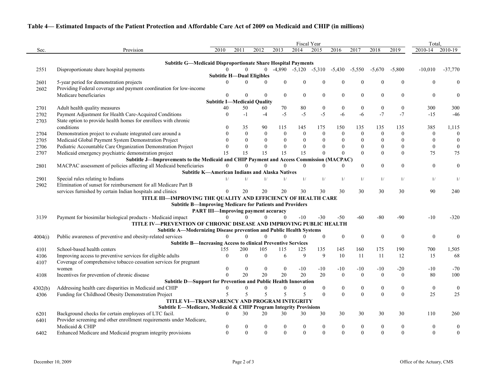# **Table 4— Estimated Impacts of the Patient Protection and Affordable Care Act of 2009 on Medicaid and CHIP (in millions)**

|         |                                                                                                                                  |                                            |      |                  |                |                  |                  | Fiscal Year                |                  |                  |                  |                | Total.           |                  |
|---------|----------------------------------------------------------------------------------------------------------------------------------|--------------------------------------------|------|------------------|----------------|------------------|------------------|----------------------------|------------------|------------------|------------------|----------------|------------------|------------------|
| Sec.    | Provision                                                                                                                        | 2010                                       | 2011 | 2012             |                | 2013             | 2014             | 2015                       | 2016             | 2017             | 2018             | 2019           | 2010-14          | 2010-19          |
|         | <b>Subtitle G-Medicaid Disproportionate Share Hospital Payments</b>                                                              |                                            |      |                  |                |                  |                  |                            |                  |                  |                  |                |                  |                  |
| 2551    | Disproportionate share hospital payments                                                                                         | $\Omega$                                   |      |                  | $\overline{0}$ |                  |                  | $-4,890$ $-5,120$ $-5,310$ | $-5,430$         | $-5,550$         | $-5,670$         | $-5,800$       | $-10,010$        | $-37,770$        |
|         |                                                                                                                                  | <b>Subtitle H-Dual Eligibles</b>           |      |                  |                |                  |                  |                            |                  |                  |                  |                |                  |                  |
| 2601    | 5-year period for demonstration projects                                                                                         | $\Omega$                                   |      | 0                | $\Omega$       | $\theta$         | $\mathbf{0}$     |                            | $\boldsymbol{0}$ | $\boldsymbol{0}$ |                  | $\mathbf{0}$   | $\theta$         |                  |
| 2602    | Providing Federal coverage and payment coordination for low-income                                                               |                                            |      |                  |                |                  |                  |                            |                  |                  |                  |                |                  |                  |
|         | Medicare beneficiaries                                                                                                           | $\theta$                                   |      | 0                | $\theta$       | $\boldsymbol{0}$ | $\boldsymbol{0}$ | $\overline{0}$             | $\boldsymbol{0}$ | $\overline{0}$   | $\boldsymbol{0}$ | $\mathbf{0}$   | $\boldsymbol{0}$ |                  |
|         |                                                                                                                                  | <b>Subtitle I-Medicaid Quality</b>         |      |                  |                |                  |                  |                            |                  |                  |                  |                |                  |                  |
| 2701    | Adult health quality measures                                                                                                    | 40                                         | 50   |                  | 60             | 70               | 80               | $\boldsymbol{0}$           | $\boldsymbol{0}$ | $\boldsymbol{0}$ | $\boldsymbol{0}$ | $\bf{0}$       | 300              | 300              |
| 2702    | Payment Adjustment for Health Care-Acquired Conditions                                                                           | $\Omega$                                   | $-1$ |                  | $-4$           | $-5$             | $-5$             | $-5$                       | $-6$             | $-6$             | $-7$             | $-7$           | $-15$            | $-46$            |
| 2703    | State option to provide health homes for enrollees with chronic                                                                  |                                            |      |                  |                |                  |                  |                            |                  |                  |                  |                |                  |                  |
|         | conditions                                                                                                                       |                                            | 35   |                  | 90             | 115              | 145              | 175                        | 150              | 135              | 135              | 135            | 385              | 1,115            |
| 2704    | Demonstration project to evaluate integrated care around a                                                                       |                                            |      | $\theta$         | $\theta$       | $\boldsymbol{0}$ | $\Omega$         | $\overline{0}$             | $\boldsymbol{0}$ | $\mathbf{0}$     | $\theta$         | $\theta$       | $\boldsymbol{0}$ | $\bf{0}$         |
| 2705    | Medicaid Global Payment System Demonstration Project                                                                             |                                            |      | $\theta$         | $\Omega$       | $\mathbf{0}$     | $\theta$         | $\Omega$                   | $\mathbf{0}$     | $\theta$         |                  | $\theta$       | $\boldsymbol{0}$ |                  |
| 2706    | Pediatric Accountable Care Organization Demonstration Project                                                                    |                                            |      | $\theta$         | $\Omega$       | $\theta$         | $\theta$         | $\Omega$                   | $\boldsymbol{0}$ | $\theta$         |                  | $\theta$       | $\boldsymbol{0}$ | $\boldsymbol{0}$ |
| 2707    | Medicaid emergency psychiatric demonstration project                                                                             | 15                                         | 15   |                  | 15             | 15               | 15               | $\theta$                   | $\overline{0}$   | $\Omega$         |                  | $\Omega$       | 75               | 75               |
|         | Subtitle J-Improvements to the Medicaid and CHIP Payment and Access Commission (MACPAC)                                          |                                            |      |                  |                |                  |                  |                            |                  |                  |                  |                |                  |                  |
| 2801    | MACPAC assessment of policies affecting all Medicaid beneficiaries                                                               |                                            |      |                  | 0              |                  | 0                | 0                          | $\Omega$         | $\theta$         | $\theta$         | $\Omega$       | $\boldsymbol{0}$ | $\boldsymbol{0}$ |
|         | <b>Subtitle K-American Indians and Alaska Natives</b>                                                                            |                                            |      |                  |                |                  |                  |                            |                  |                  |                  |                |                  |                  |
| 2901    | Special rules relating to Indians<br>Elimination of sunset for reimbursement for all Medicare Part B                             |                                            |      | 1/               | 1/             | 1/               | 1/               | 1/                         | 1/               | 1/               | 1/               | 1/             | 1/               | $\mathbf{1}$     |
| 2902    |                                                                                                                                  | $\Omega$                                   |      |                  |                |                  |                  |                            | 30               | 30               | 30               |                | 90               | 240              |
|         | services furnished by certain Indian hospitals and clinics                                                                       |                                            | 20   |                  | 20             | 20               | 30               | 30                         |                  |                  |                  | 30             |                  |                  |
|         | TITLE III-IMPROVING THE QUALITY AND EFFICIENCY OF HEALTH CARE<br><b>Subtitle B-Improving Medicare for Patients and Providers</b> |                                            |      |                  |                |                  |                  |                            |                  |                  |                  |                |                  |                  |
|         |                                                                                                                                  | <b>PART III-Improving payment accuracy</b> |      |                  |                |                  |                  |                            |                  |                  |                  |                |                  |                  |
| 3139    | Payment for biosimilar biological products - Medicaid impact                                                                     |                                            |      | 0                | $\theta$       |                  | $-10$            | $-30$                      | $-50$            | $-60$            | $-80$            | $-90$          | $-10$            | $-320$           |
|         | TITLE IV—PREVENTION OF CHRONIC DISEASE AND IMPROVING PUBLIC HEALTH                                                               |                                            |      |                  |                |                  |                  |                            |                  |                  |                  |                |                  |                  |
|         | Subtitle A-Modernizing Disease prevention and Public Health Systems                                                              |                                            |      |                  |                |                  |                  |                            |                  |                  |                  |                |                  |                  |
| 4004(i) | Public awareness of preventive and obesity-related services                                                                      | $\Omega$                                   |      | $\theta$         | $\mathbf{0}$   | $\theta$         | $\theta$         | $\mathbf{0}$               | $\boldsymbol{0}$ | $\mathbf{0}$     |                  | $\Omega$       | $\boldsymbol{0}$ |                  |
|         | <b>Subtitle B-Increasing Access to clinical Preventive Services</b>                                                              |                                            |      |                  |                |                  |                  |                            |                  |                  |                  |                |                  |                  |
| 4101    | School-based health centers                                                                                                      | 155                                        | 200  |                  | 105            | 115              | 125              | 135                        | 145              | 160              | 175              | 190            | 700              | 1,505            |
| 4106    | Improving access to preventive services for eligible adults                                                                      | $\theta$                                   |      | $\theta$         | $\Omega$       | 6                | 9                | 9                          | 10               | 11               | 11               | 12             | 15               | 68               |
| 4107    | Coverage of comprehensive tobacco cessation services for pregnant                                                                |                                            |      |                  |                |                  |                  |                            |                  |                  |                  |                |                  |                  |
|         | women                                                                                                                            |                                            |      | 0                | 0              | $\theta$         | $-10$            | $-10$                      | $-10$            | $-10$            | $-10$            | $-20$          | $-10$            | $-70$            |
| 4108    | Incentives for prevention of chronic disease                                                                                     | $\theta$                                   | 20   |                  | 20             | 20               | 20               | 20                         | $\boldsymbol{0}$ | $\Omega$         | $\Omega$         | $\theta$       | 80               | 100              |
|         | <b>Subtitle D-Support for Prevention and Public Health Innovation</b>                                                            |                                            |      |                  |                |                  |                  |                            |                  |                  |                  |                |                  |                  |
| 4302(b) | Addressing health care disparities in Medicaid and CHIP                                                                          |                                            |      |                  |                |                  | 0                | $\overline{0}$             | $\boldsymbol{0}$ |                  |                  |                | $\boldsymbol{0}$ |                  |
| 4306    | Funding for Childhood Obesity Demonstration Project                                                                              | 5                                          |      | 5                | 5              | 5                | 5                | $\theta$                   | $\boldsymbol{0}$ | $\mathbf{0}$     | $\Omega$         | $\overline{0}$ | 25               | 25               |
|         | TITLE VI-TRANSPARENCY AND PROGRAM INTEGRITY                                                                                      |                                            |      |                  |                |                  |                  |                            |                  |                  |                  |                |                  |                  |
|         | Subtitle E-Medicare, Medicaid & CHIP Program Integrity Provisions                                                                |                                            |      |                  |                |                  |                  |                            |                  |                  |                  |                |                  |                  |
| 6201    | Background checks for certain employees of LTC facil.                                                                            | $\Omega$                                   | 30   |                  | 20             | 30               | 30               | 30                         | 30               | 30               | 30               | 30             | 110              | 260              |
| 6401    | Provider screening and other enrollment requirements under Medicare,                                                             |                                            |      |                  |                |                  |                  |                            |                  |                  |                  |                |                  |                  |
|         | Medicaid & CHIP                                                                                                                  | $\boldsymbol{0}$                           |      | $\theta$         |                | $\boldsymbol{0}$ | $\theta$         |                            | $\boldsymbol{0}$ | $\bf{0}$         |                  | $\bf{0}$       | $\boldsymbol{0}$ | $\boldsymbol{0}$ |
| 6402    | Enhanced Medicare and Medicaid program integrity provisions                                                                      | $\overline{0}$                             |      | $\boldsymbol{0}$ | $\Omega$       | $\boldsymbol{0}$ | $\overline{0}$   | $\Omega$                   | $\boldsymbol{0}$ | $\mathbf{0}$     | $\Omega$         | $\overline{0}$ | $\mathbf{0}$     | $\boldsymbol{0}$ |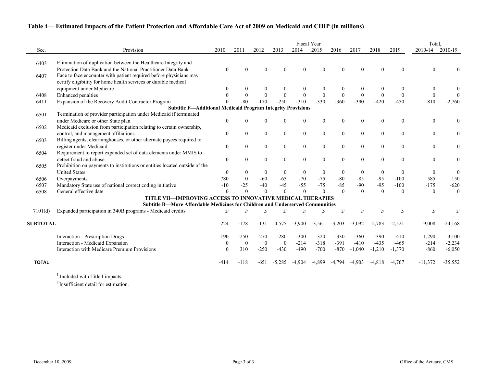# **Table 4— Estimated Impacts of the Patient Protection and Affordable Care Act of 2009 on Medicaid and CHIP (in millions)**

|                 |                                                                               |                  |                | Total.       |                  |                  |                  |                  |                |                    |              |                  |                  |
|-----------------|-------------------------------------------------------------------------------|------------------|----------------|--------------|------------------|------------------|------------------|------------------|----------------|--------------------|--------------|------------------|------------------|
| Sec.            | Provision                                                                     | 2010             | 2011           | 2012         | 2013             | 2014             | 2015             | 2016             | 2017           | 2018               | 2019         | 2010-14          | 2010-19          |
| 6403            | Elimination of duplication between the Healthcare Integrity and               |                  |                |              |                  |                  |                  |                  |                |                    |              |                  |                  |
|                 | Protection Data Bank and the National Practitioner Data Bank                  | $\boldsymbol{0}$ | O              |              | $\Omega$         |                  |                  | $\Omega$         |                |                    |              | $\Omega$         |                  |
| 6407            | Face to face encounter with patient required before physicians may            |                  |                |              |                  |                  |                  |                  |                |                    |              |                  |                  |
|                 | certify eligibility for home health services or durable medical               |                  |                |              |                  |                  |                  |                  |                |                    |              |                  |                  |
|                 | equipment under Medicare                                                      | $\bf{0}$         | $\Omega$       | $\Omega$     | $\theta$         |                  | $\theta$         | $\boldsymbol{0}$ |                |                    | $\theta$     | $\boldsymbol{0}$ |                  |
| 6408            | Enhanced penalties                                                            | $\Omega$         | $\Omega$       | $\Omega$     | $\boldsymbol{0}$ | $\Omega$         | $\boldsymbol{0}$ | $\bf{0}$         | $\theta$       | $\mathbf{0}$       | $\theta$     | $\boldsymbol{0}$ |                  |
| 6411            | Expansion of the Recovery Audit Contractor Program                            |                  | $-80$          | $-170$       | $-250$           | $-310$           | $-330$           | $-360$           | $-390$         | $-420$             | $-450$       | $-810$           | $-2,760$         |
|                 | <b>Subtitle F-Additional Medicaid Program Integrity Provisions</b>            |                  |                |              |                  |                  |                  |                  |                |                    |              |                  |                  |
| 6501            | Termination of provider participation under Medicaid if terminated            |                  |                |              |                  |                  |                  |                  |                |                    |              |                  |                  |
|                 | under Medicare or other State plan                                            | $\theta$         | 0              |              | $\theta$         | 0                | $\Omega$         | $\boldsymbol{0}$ | $\theta$       | $\Omega$           | $\Omega$     | $\theta$         | $\theta$         |
| 6502            | Medicaid exclusion from participation relating to certain ownership,          |                  |                |              |                  |                  |                  |                  |                |                    |              |                  |                  |
|                 | control, and management affiliations                                          | $\mathbf{0}$     | $\overline{0}$ | $\mathbf{0}$ | $\boldsymbol{0}$ | $\boldsymbol{0}$ | $\mathbf{0}$     | $\boldsymbol{0}$ | $\overline{0}$ | $\boldsymbol{0}$   | $\mathbf{0}$ | $\boldsymbol{0}$ | $\mathbf{0}$     |
| 6503            | Billing agents, clearninghouses, or other alternate payees required to        |                  |                |              |                  |                  |                  |                  |                |                    |              |                  |                  |
|                 | register under Medicaid                                                       | $\boldsymbol{0}$ | $\overline{0}$ | $\mathbf{0}$ | $\boldsymbol{0}$ | $\mathbf{0}$     | $\boldsymbol{0}$ | $\mathbf{0}$     | $\mathbf{0}$   | $\boldsymbol{0}$   | $\Omega$     | $\boldsymbol{0}$ | $\mathbf{0}$     |
| 6504            | Requirement to report expanded set of data elements under MMIS to             |                  |                |              |                  |                  |                  |                  |                |                    |              |                  |                  |
|                 | detect fraud and abuse                                                        | $\theta$         | $\Omega$       | $\theta$     | $\boldsymbol{0}$ | $\theta$         | $\theta$         | $\theta$         | $\theta$       | $\theta$           | $\Omega$     | $\theta$         | $\mathbf{0}$     |
| 6505            | Prohibition on payments to institutions or entities located outside of the    |                  |                |              |                  |                  |                  |                  |                |                    |              |                  |                  |
|                 | <b>United States</b>                                                          | $\mathbf{0}$     | $\overline{0}$ | $\theta$     | $\boldsymbol{0}$ | $\mathbf{0}$     | $\theta$         | $\boldsymbol{0}$ | $\theta$       | $\overline{0}$     | $\theta$     | $\boldsymbol{0}$ | $\boldsymbol{0}$ |
| 6506            | Overpayments                                                                  | 780              | $\theta$       | $-60$        | $-65$            | $-70$            | $-75$            | $-80$            | $-85$          | $-95$              | $-100$       | 585              | 150              |
| 6507            | Mandatory State use of national correct coding initiative                     | $-10$            | $-25$          | $-40$        | $-45$            | $-55$            | $-75$            | $-85$            | $-90$          | $-95$              | $-100$       | $-175$           | $-620$           |
| 6508            | General effective date                                                        | $\Omega$         |                | $\Omega$     | $\overline{0}$   |                  | $\Omega$         | $\theta$         | $\Omega$       | $\Omega$           | $\Omega$     | $\boldsymbol{0}$ | $\theta$         |
|                 | TITLE VII-IMPROVING ACCESS TO INNOVATIVE MEDICAL THERAPIES                    |                  |                |              |                  |                  |                  |                  |                |                    |              |                  |                  |
|                 | Subtitle B-More Affordable Medicines for Children and Underserved Communities |                  |                |              |                  |                  |                  |                  |                |                    |              |                  |                  |
| 7101(d)         | Expanded participation in 340B programs - Medicaid credits                    | 2/               |                | 2/           | 2/               |                  | 2/               | 2/               | 2/             | $\mathfrak{D}_{l}$ | 2/           | 2/               |                  |
| <b>SUBTOTAL</b> |                                                                               | $-224$           | $-178$         | $-131$       | $-4,575$         | $-3,900$         | $-3,561$         | $-3,203$         | $-3,092$       | $-2,783$           | $-2,521$     | $-9,008$         | $-24,168$        |
|                 |                                                                               | $-190$           | $-250$         | $-270$       | $-280$           | $-300$           | $-320$           | $-330$           | $-360$         | $-390$             | $-410$       | $-1,290$         | $-3,100$         |
|                 | Interaction - Prescription Drugs<br>Interaction - Medicaid Expansion          | $\theta$         | $\bf{0}$       | $\mathbf{0}$ | $\overline{0}$   | $-214$           | $-318$           | $-391$           | $-410$         | $-435$             | $-465$       | $-214$           | $-2,234$         |
|                 | Interaction with Medicare Premium Provisions                                  | $\Omega$         | 310            | $-250$       | $-430$           | $-490$           | $-700$           | $-870$           | $-1,040$       | $-1,210$           | $-1,370$     | $-860$           | $-6,050$         |
|                 |                                                                               |                  |                |              |                  |                  |                  |                  |                |                    |              |                  |                  |
| <b>TOTAL</b>    |                                                                               | $-414$           | $-118$         | $-651$       | $-5,285$         | $-4,904$         | $-4,899$         | $-4,794$         | $-4,903$       | $-4,818$           | $-4.767$     | $-11,372$        | $-35,552$        |

<sup>1</sup> Included with Title I impacts.

<sup>2</sup> Insufficient detail for estimation.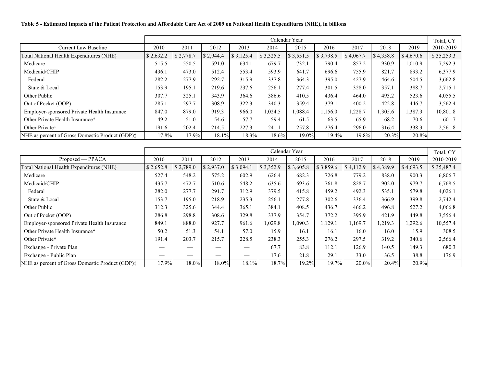### **Table 5 - Estimated Impacts of the Patient Protection and Affordable Care Act of 2009 on National Health Expenditures (NHE), in billions**

|                                                 | Calendar Year |           |           |           |           |           |           |           |           |           |            |  |  |  |
|-------------------------------------------------|---------------|-----------|-----------|-----------|-----------|-----------|-----------|-----------|-----------|-----------|------------|--|--|--|
| <b>Current Law Baseline</b>                     | 2010          | 2011      | 2012      | 2013      | 2014      | 2015      | 2016      | 2017      | 2018      | 2019      | 2010-2019  |  |  |  |
| Total National Health Expenditures (NHE)        | \$2,632.2     | \$2,778.7 | \$2,944.4 | \$3,125.4 | \$3,325.5 | \$3,551.5 | \$3,798.5 | \$4,067.7 | \$4,358.8 | \$4,670.6 | \$35,253.3 |  |  |  |
| Medicare                                        | 515.5         | 550.5     | 591.0     | 634.1     | 679.7     | 732.1     | 790.4     | 857.2     | 930.9     | 1,010.9   | 7,292.3    |  |  |  |
| Medicaid/CHIP                                   | 436.1         | 473.0     | 512.4     | 553.4     | 593.9     | 641.7     | 696.6     | 755.9     | 821.7     | 893.2     | 6,377.9    |  |  |  |
| Federal                                         | 282.2         | 277.9     | 292.7     | 315.9     | 337.8     | 364.3     | 395.0     | 427.9     | 464.6     | 504.5     | 3,662.8    |  |  |  |
| State & Local                                   | 153.9         | 195.1     | 219.6     | 237.6     | 256.1     | 277.4     | 301.5     | 328.0     | 357.1     | 388.7     | 2,715.1    |  |  |  |
| Other Public                                    | 307.7         | 325.1     | 343.9     | 364.6     | 386.6     | 410.5     | 436.4     | 464.0     | 493.2     | 523.6     | 4,055.5    |  |  |  |
| Out of Pocket (OOP)                             | 285.1         | 297.7     | 308.9     | 322.3     | 340.3     | 359.4     | 379.1     | 400.2     | 422.8     | 446.7     | 3,562.4    |  |  |  |
| Employer-sponsored Private Health Insurance     | 847.0         | 879.0     | 919.3     | 966.0     | 1,024.5   | 1,088.4   | 1,156.0   | 1,228.7   | 1,305.6   | 1,387.3   | 10,801.8   |  |  |  |
| Other Private Health Insurance*                 | 49.2          | 51.0      | 54.6      | 57.7      | 59.4      | 61.5      | 63.5      | 65.9      | 68.2      | 70.6      | 601.7      |  |  |  |
| Other Private <sup>†</sup>                      | 191.6         | 202.4     | 214.5     | 227.3     | 241.1     | 257.8     | 276.4     | 296.0     | 316.4     | 338.3     | 2,561.8    |  |  |  |
| NHE as percent of Gross Domestic Product (GDP): | 17.8%         | 17.9%     | 18.1%     | 18.3%     | 18.6%     | 19.0%     | 19.4%     | 19.8%     | 20.3%     | 20.8%     |            |  |  |  |

|                                                           | Calendar Year |           |           |           |           |           |           |           |           |           |            |  |  |
|-----------------------------------------------------------|---------------|-----------|-----------|-----------|-----------|-----------|-----------|-----------|-----------|-----------|------------|--|--|
| Proposed — PPACA                                          | 2010          | 2011      | 2012      | 2013      | 2014      | 2015      | 2016      | 2017      | 2018      | 2019      | 2010-2019  |  |  |
| Total National Health Expenditures (NHE)                  | \$2,652.8     | \$2,789.0 | \$2,937.0 | \$3,094.1 | \$3,352.9 | \$3,605.8 | \$3,859.6 | \$4,112.9 | \$4,389.9 | \$4,693.5 | \$35,487.4 |  |  |
| Medicare                                                  | 527.4         | 548.2     | 575.2     | 602.9     | 626.4     | 682.3     | 726.8     | 779.2     | 838.0     | 900.3     | 6,806.7    |  |  |
| Medicaid/CHIP                                             | 435.7         | 472.7     | 510.6     | 548.2     | 635.6     | 693.6     | 761.8     | 828.7     | 902.0     | 979.7     | 6,768.5    |  |  |
| Federal                                                   | 282.0         | 277.7     | 291.7     | 312.9     | 379.5     | 415.8     | 459.2     | 492.3     | 535.1     | 579.8     | 4,026.1    |  |  |
| State & Local                                             | 153.7         | 195.0     | 218.9     | 235.3     | 256.1     | 277.8     | 302.6     | 336.4     | 366.9     | 399.8     | 2,742.4    |  |  |
| Other Public                                              | 312.3         | 325.6     | 344.4     | 365.1     | 384.1     | 408.5     | 436.7     | 466.2     | 496.8     | 527.2     | 4,066.8    |  |  |
| Out of Pocket (OOP)                                       | 286.8         | 298.8     | 308.6     | 329.8     | 337.9     | 354.7     | 372.2     | 395.9     | 421.9     | 449.8     | 3,556.4    |  |  |
| Employer-sponsored Private Health Insurance               | 849.1         | 888.0     | 927.7     | 961.6     | 1,029.8   | 1,090.3   | 1,129.1   | 1,169.7   | 1,219.3   | 1,292.6   | 10,557.4   |  |  |
| Other Private Health Insurance*                           | 50.2          | 51.3      | 54.1      | 57.0      | 15.9      | 16.1      | 16.1      | 16.0      | 16.0      | 15.9      | 308.5      |  |  |
| Other Private†                                            | 191.4         | 203.7     | 215.7     | 228.5     | 238.3     | 255.3     | 276.2     | 297.5     | 319.2     | 340.6     | 2,566.4    |  |  |
| Exchange - Private Plan                                   |               |           |           |           | 67.7      | 83.8      | 112.1     | 126.9     | 140.5     | 149.3     | 680.3      |  |  |
| Exchange - Public Plan                                    |               |           |           |           | 17.6      | 21.8      | 29.1      | 33.0      | 36.5      | 38.8      | 176.9      |  |  |
| NHE as percent of Gross Domestic Product (GDP) $\ddagger$ | 17.9%         | 18.0%     | 18.0%     | 18.1%     | 18.7%     | 19.2%     | 19.7%     | $20.0\%$  | 20.4%     | 20.9%     |            |  |  |